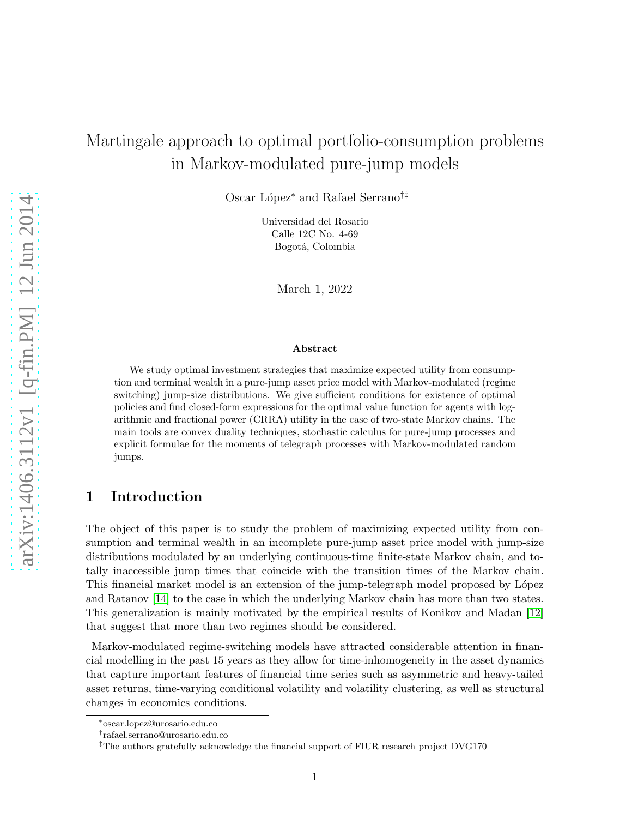# Martingale approach to optimal portfolio-consumption problems in Markov-modulated pure-jump models

Oscar L´opez<sup>∗</sup> and Rafael Serrano†‡

Universidad del Rosario Calle 12C No. 4-69 Bogotá, Colombia

March 1, 2022

#### Abstract

We study optimal investment strategies that maximize expected utility from consumption and terminal wealth in a pure-jump asset price model with Markov-modulated (regime switching) jump-size distributions. We give sufficient conditions for existence of optimal policies and find closed-form expressions for the optimal value function for agents with logarithmic and fractional power (CRRA) utility in the case of two-state Markov chains. The main tools are convex duality techniques, stochastic calculus for pure-jump processes and explicit formulae for the moments of telegraph processes with Markov-modulated random jumps.

## 1 Introduction

The object of this paper is to study the problem of maximizing expected utility from consumption and terminal wealth in an incomplete pure-jump asset price model with jump-size distributions modulated by an underlying continuous-time finite-state Markov chain, and totally inaccessible jump times that coincide with the transition times of the Markov chain. This financial market model is an extension of the jump-telegraph model proposed by López and Ratanov [\[14\]](#page-22-0) to the case in which the underlying Markov chain has more than two states. This generalization is mainly motivated by the empirical results of Konikov and Madan [\[12\]](#page-22-1) that suggest that more than two regimes should be considered.

Markov-modulated regime-switching models have attracted considerable attention in financial modelling in the past 15 years as they allow for time-inhomogeneity in the asset dynamics that capture important features of financial time series such as asymmetric and heavy-tailed asset returns, time-varying conditional volatility and volatility clustering, as well as structural changes in economics conditions.

<sup>∗</sup> oscar.lopez@urosario.edu.co

<sup>†</sup> rafael.serrano@urosario.edu.co

<sup>‡</sup>The authors gratefully acknowledge the financial support of FIUR research project DVG170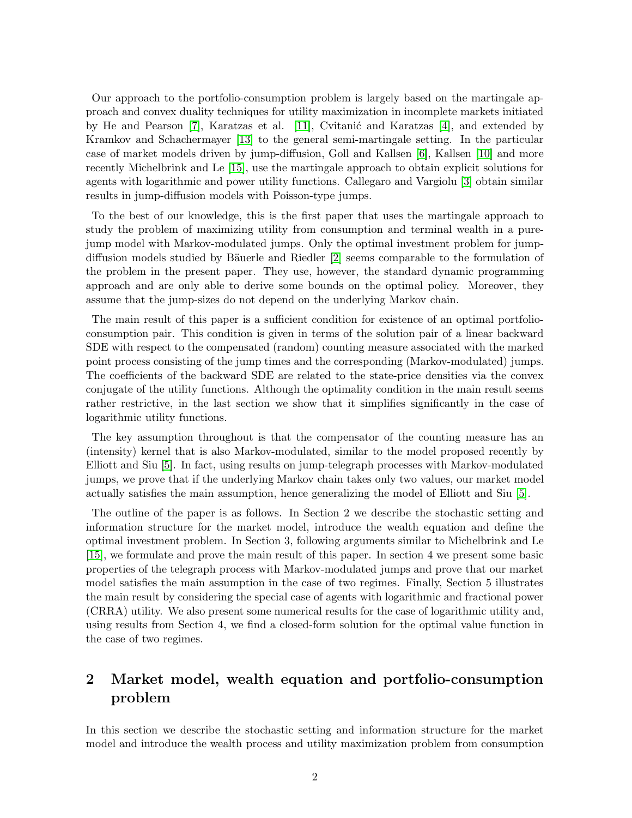Our approach to the portfolio-consumption problem is largely based on the martingale approach and convex duality techniques for utility maximization in incomplete markets initiated by He and Pearson  $[7]$ , Karatzas et al.  $[11]$ , Cvitanić and Karatzas  $[4]$ , and extended by Kramkov and Schachermayer [\[13\]](#page-22-5) to the general semi-martingale setting. In the particular case of market models driven by jump-diffusion, Goll and Kallsen [\[6\]](#page-22-6), Kallsen [\[10\]](#page-22-7) and more recently Michelbrink and Le [\[15\]](#page-22-8), use the martingale approach to obtain explicit solutions for agents with logarithmic and power utility functions. Callegaro and Vargiolu [\[3\]](#page-22-9) obtain similar results in jump-diffusion models with Poisson-type jumps.

To the best of our knowledge, this is the first paper that uses the martingale approach to study the problem of maximizing utility from consumption and terminal wealth in a purejump model with Markov-modulated jumps. Only the optimal investment problem for jump-diffusion models studied by Bäuerle and Riedler [\[2\]](#page-22-10) seems comparable to the formulation of the problem in the present paper. They use, however, the standard dynamic programming approach and are only able to derive some bounds on the optimal policy. Moreover, they assume that the jump-sizes do not depend on the underlying Markov chain.

The main result of this paper is a sufficient condition for existence of an optimal portfolioconsumption pair. This condition is given in terms of the solution pair of a linear backward SDE with respect to the compensated (random) counting measure associated with the marked point process consisting of the jump times and the corresponding (Markov-modulated) jumps. The coefficients of the backward SDE are related to the state-price densities via the convex conjugate of the utility functions. Although the optimality condition in the main result seems rather restrictive, in the last section we show that it simplifies significantly in the case of logarithmic utility functions.

The key assumption throughout is that the compensator of the counting measure has an (intensity) kernel that is also Markov-modulated, similar to the model proposed recently by Elliott and Siu [\[5\]](#page-22-11). In fact, using results on jump-telegraph processes with Markov-modulated jumps, we prove that if the underlying Markov chain takes only two values, our market model actually satisfies the main assumption, hence generalizing the model of Elliott and Siu [\[5\]](#page-22-11).

The outline of the paper is as follows. In Section 2 we describe the stochastic setting and information structure for the market model, introduce the wealth equation and define the optimal investment problem. In Section 3, following arguments similar to Michelbrink and Le [\[15\]](#page-22-8), we formulate and prove the main result of this paper. In section 4 we present some basic properties of the telegraph process with Markov-modulated jumps and prove that our market model satisfies the main assumption in the case of two regimes. Finally, Section 5 illustrates the main result by considering the special case of agents with logarithmic and fractional power (CRRA) utility. We also present some numerical results for the case of logarithmic utility and, using results from Section 4, we find a closed-form solution for the optimal value function in the case of two regimes.

# 2 Market model, wealth equation and portfolio-consumption problem

In this section we describe the stochastic setting and information structure for the market model and introduce the wealth process and utility maximization problem from consumption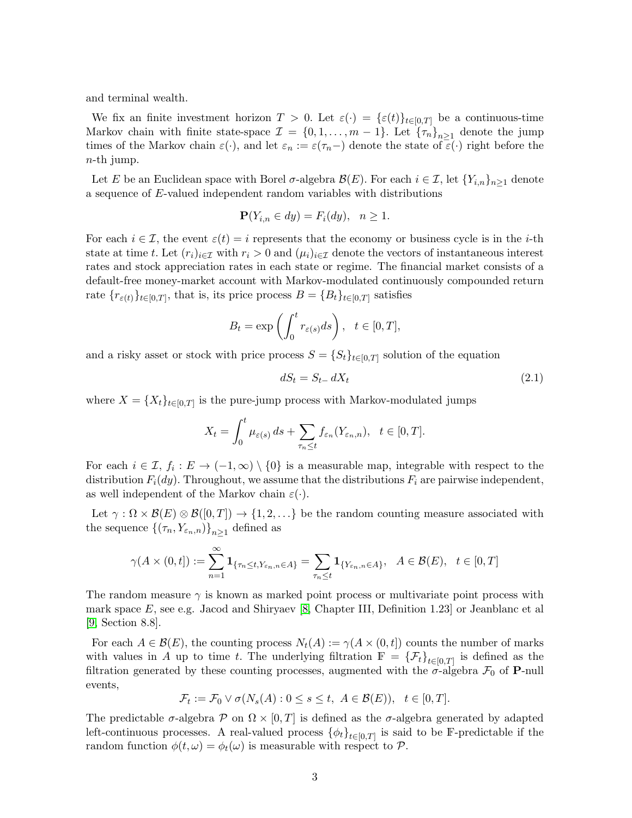and terminal wealth.

We fix an finite investment horizon  $T > 0$ . Let  $\varepsilon(\cdot) = {\varepsilon(t)}_{t \in [0,T]}$  be a continuous-time Markov chain with finite state-space  $\mathcal{I} = \{0, 1, \ldots, m-1\}$ . Let  $\{\tau_n\}_{n \geq 1}$  denote the jump times of the Markov chain  $\varepsilon(\cdot)$ , and let  $\varepsilon_n := \varepsilon(\tau_n-)$  denote the state of  $\varepsilon(\cdot)$  right before the  $n$ -th jump.

Let E be an Euclidean space with Borel  $\sigma$ -algebra  $\mathcal{B}(E)$ . For each  $i \in \mathcal{I}$ , let  $\{Y_{i,n}\}_{n\geq 1}$  denote a sequence of E-valued independent random variables with distributions

$$
\mathbf{P}(Y_{i,n} \in dy) = F_i(dy), \quad n \ge 1.
$$

For each  $i \in \mathcal{I}$ , the event  $\varepsilon(t) = i$  represents that the economy or business cycle is in the *i*-th state at time t. Let  $(r_i)_{i\in\mathcal{I}}$  with  $r_i > 0$  and  $(\mu_i)_{i\in\mathcal{I}}$  denote the vectors of instantaneous interest rates and stock appreciation rates in each state or regime. The financial market consists of a default-free money-market account with Markov-modulated continuously compounded return rate  ${r_{\varepsilon(t)}}_{t \in [0,T]}$ , that is, its price process  $B = {B_t}_{t \in [0,T]}$  satisfies

$$
B_t = \exp\left(\int_0^t r_{\varepsilon(s)}ds\right), \quad t \in [0, T],
$$

and a risky asset or stock with price process  $S = \{S_t\}_{t \in [0,T]}$  solution of the equation

<span id="page-2-0"></span>
$$
dS_t = S_{t-} dX_t \tag{2.1}
$$

where  $X = \{X_t\}_{t\in[0,T]}$  is the pure-jump process with Markov-modulated jumps

$$
X_t = \int_0^t \mu_{\varepsilon(s)} ds + \sum_{\tau_n \le t} f_{\varepsilon_n}(Y_{\varepsilon_n, n}), \quad t \in [0, T].
$$

For each  $i \in \mathcal{I}, f_i : E \to (-1, \infty) \setminus \{0\}$  is a measurable map, integrable with respect to the distribution  $F_i(dy)$ . Throughout, we assume that the distributions  $F_i$  are pairwise independent, as well independent of the Markov chain  $\varepsilon(\cdot)$ .

Let  $\gamma : \Omega \times \mathcal{B}(E) \otimes \mathcal{B}([0,T]) \to \{1,2,\ldots\}$  be the random counting measure associated with the sequence  $\left\{(\tau_n, Y_{\varepsilon_n,n})\right\}_{n\geq 1}$  defined as

$$
\gamma(A \times (0,t]) := \sum_{n=1}^{\infty} \mathbf{1}_{\{\tau_n \le t, Y_{\varepsilon_n, n} \in A\}} = \sum_{\tau_n \le t} \mathbf{1}_{\{Y_{\varepsilon_n, n} \in A\}}, \quad A \in \mathcal{B}(E), \quad t \in [0,T]
$$

The random measure  $\gamma$  is known as marked point process or multivariate point process with mark space  $E$ , see e.g. Jacod and Shiryaev [\[8,](#page-22-12) Chapter III, Definition 1.23] or Jeanblanc et al [\[9,](#page-22-13) Section 8.8].

For each  $A \in \mathcal{B}(E)$ , the counting process  $N_t(A) := \gamma(A \times (0,t])$  counts the number of marks with values in A up to time t. The underlying filtration  $\mathbb{F} = {\{\mathcal{F}_t\}}_{t \in [0,T]}$  is defined as the filtration generated by these counting processes, augmented with the  $\sigma$ -algebra  $\mathcal{F}_0$  of **P**-null events,

$$
\mathcal{F}_t := \mathcal{F}_0 \vee \sigma(N_s(A) : 0 \le s \le t, \ A \in \mathcal{B}(E)), \quad t \in [0, T].
$$

The predictable  $\sigma$ -algebra  $\mathcal{P}$  on  $\Omega \times [0, T]$  is defined as the  $\sigma$ -algebra generated by adapted left-continuous processes. A real-valued process  $\{\phi_t\}_{t\in[0,T]}$  is said to be F-predictable if the random function  $\phi(t,\omega) = \phi_t(\omega)$  is measurable with respect to P.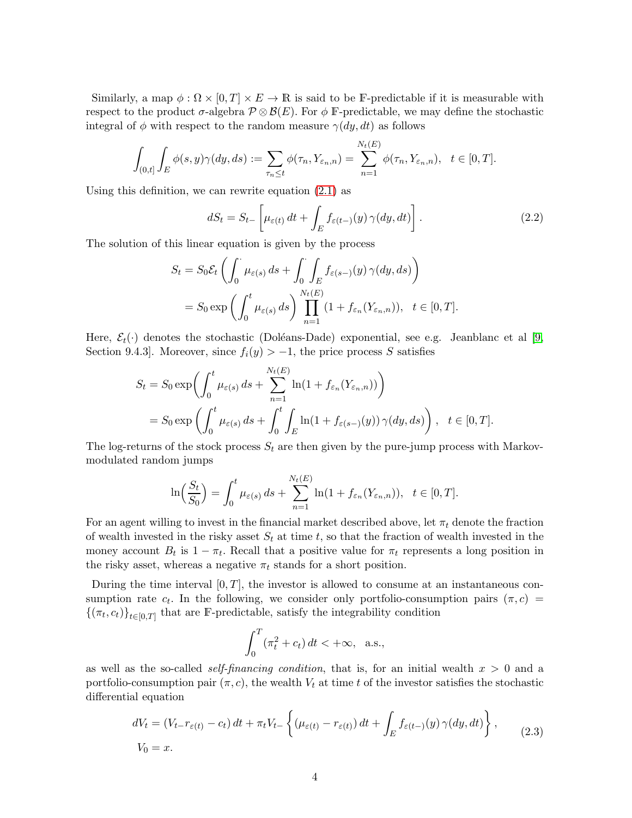Similarly, a map  $\phi : \Omega \times [0,T] \times E \to \mathbb{R}$  is said to be F-predictable if it is measurable with respect to the product  $\sigma$ -algebra  $\mathcal{P} \otimes \mathcal{B}(E)$ . For  $\phi \to \text{P-predictable}$ , we may define the stochastic integral of  $\phi$  with respect to the random measure  $\gamma(dy, dt)$  as follows

$$
\int_{(0,t]} \int_E \phi(s,y)\gamma(dy,ds) := \sum_{\tau_n \le t} \phi(\tau_n, Y_{\varepsilon_n,n}) = \sum_{n=1}^{N_t(E)} \phi(\tau_n, Y_{\varepsilon_n,n}), \quad t \in [0,T].
$$

Using this definition, we can rewrite equation [\(2.1\)](#page-2-0) as

$$
dS_t = S_{t-}\left[\mu_{\varepsilon(t)} dt + \int_E f_{\varepsilon(t-)}(y)\,\gamma(dy, dt)\right].\tag{2.2}
$$

The solution of this linear equation is given by the process

$$
S_t = S_0 \mathcal{E}_t \left( \int_0^t \mu_{\varepsilon(s)} ds + \int_0^t \int_E f_{\varepsilon(s-)}(y) \gamma(dy, ds) \right)
$$
  
= 
$$
S_0 \exp \left( \int_0^t \mu_{\varepsilon(s)} ds \right) \prod_{n=1}^{N_t(E)} (1 + f_{\varepsilon_n}(Y_{\varepsilon_n, n})), \quad t \in [0, T].
$$

Here,  $\mathcal{E}_t(\cdot)$  denotes the stochastic (Doléans-Dade) exponential, see e.g. Jeanblanc et al [\[9,](#page-22-13) Section 9.4.3]. Moreover, since  $f_i(y) > -1$ , the price process S satisfies

$$
S_t = S_0 \exp\left(\int_0^t \mu_{\varepsilon(s)} ds + \sum_{n=1}^{N_t(E)} \ln(1 + f_{\varepsilon_n}(Y_{\varepsilon_n, n}))\right)
$$
  
=  $S_0 \exp\left(\int_0^t \mu_{\varepsilon(s)} ds + \int_0^t \int_E \ln(1 + f_{\varepsilon(s-)}(y)) \gamma(dy, ds)\right), \quad t \in [0, T].$ 

The log-returns of the stock process  $S_t$  are then given by the pure-jump process with Markovmodulated random jumps

$$
\ln\left(\frac{S_t}{S_0}\right) = \int_0^t \mu_{\varepsilon(s)} ds + \sum_{n=1}^{N_t(E)} \ln(1 + f_{\varepsilon_n}(Y_{\varepsilon_n, n})), \quad t \in [0, T].
$$

For an agent willing to invest in the financial market described above, let  $\pi_t$  denote the fraction of wealth invested in the risky asset  $S_t$  at time t, so that the fraction of wealth invested in the money account  $B_t$  is  $1 - \pi_t$ . Recall that a positive value for  $\pi_t$  represents a long position in the risky asset, whereas a negative  $\pi_t$  stands for a short position.

During the time interval  $[0, T]$ , the investor is allowed to consume at an instantaneous consumption rate  $c_t$ . In the following, we consider only portfolio-consumption pairs  $(\pi, c)$  =  $\{(\pi_t, c_t)\}_{t \in [0,T]}$  that are F-predictable, satisfy the integrability condition

$$
\int_0^T (\pi_t^2 + c_t) dt < +\infty, \text{ a.s.},
$$

as well as the so-called *self-financing condition*, that is, for an initial wealth  $x > 0$  and a portfolio-consumption pair  $(\pi, c)$ , the wealth  $V_t$  at time t of the investor satisfies the stochastic differential equation

<span id="page-3-0"></span>
$$
dV_t = (V_{t-}r_{\varepsilon(t)} - c_t) dt + \pi_t V_{t-} \left\{ (\mu_{\varepsilon(t)} - r_{\varepsilon(t)}) dt + \int_E f_{\varepsilon(t-)}(y) \gamma(dy, dt) \right\},
$$
  
\n
$$
V_0 = x.
$$
\n(2.3)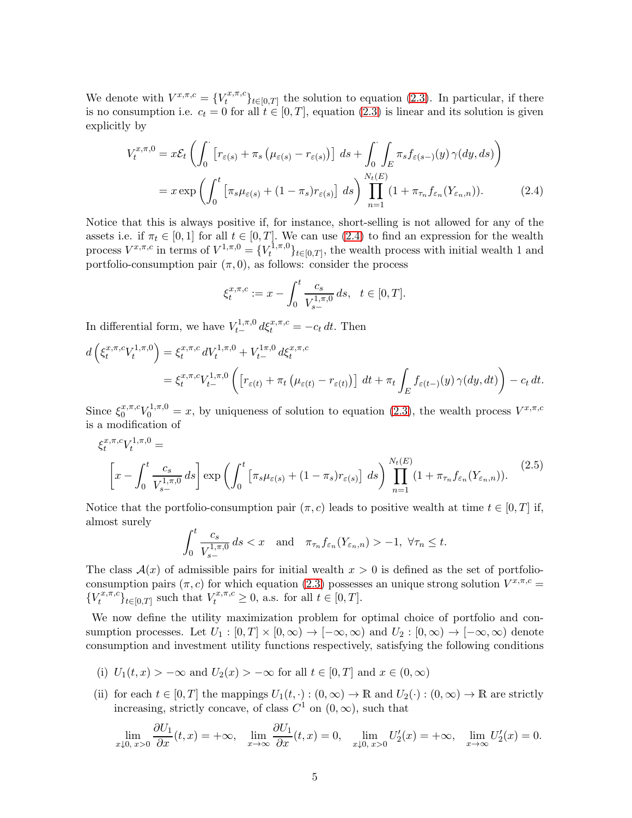We denote with  $V^{x,\pi,c} = \{V_t^{x,\pi,c}\}$  $\{t^{x,\pi,c}\}_{t\in[0,T]}$  the solution to equation [\(2.3\)](#page-3-0). In particular, if there is no consumption i.e.  $c_t = 0$  for all  $t \in [0, T]$ , equation [\(2.3\)](#page-3-0) is linear and its solution is given explicitly by

$$
V_t^{x,\pi,0} = x\mathcal{E}_t \left( \int_0^\cdot \left[ r_{\varepsilon(s)} + \pi_s \left( \mu_{\varepsilon(s)} - r_{\varepsilon(s)} \right) \right] ds + \int_0^\cdot \int_E \pi_s f_{\varepsilon(s-)}(y) \gamma(dy, ds) \right)
$$
  
=  $x \exp \left( \int_0^t \left[ \pi_s \mu_{\varepsilon(s)} + (1 - \pi_s) r_{\varepsilon(s)} \right] ds \right) \prod_{n=1}^{N_t(E)} (1 + \pi_{\tau_n} f_{\varepsilon_n}(Y_{\varepsilon_n, n})).$  (2.4)

Notice that this is always positive if, for instance, short-selling is not allowed for any of the assets i.e. if  $\pi_t \in [0, 1]$  for all  $t \in [0, T]$ . We can use [\(2.4\)](#page-4-0) to find an expression for the wealth process  $V^{x,\pi,c}$  in terms of  $V^{1,\pi,0} = \{V_t^{1,\pi,0}\}$  $\{t^{(1,\pi,\upsilon)}\}_{t\in[0,T]}$ , the wealth process with initial wealth 1 and portfolio-consumption pair  $(\pi, 0)$ , as follows: consider the process

<span id="page-4-0"></span>
$$
\xi_t^{x,\pi,c} := x - \int_0^t \frac{c_s}{V_{s-}^{1,\pi,0}} ds, \quad t \in [0,T].
$$

In differential form, we have  $V_{t-}^{1,\pi,0} d\xi_t^{x,\pi,c} = -c_t dt$ . Then

$$
d\left(\xi_t^{x,\pi,c}V_t^{1,\pi,0}\right) = \xi_t^{x,\pi,c} dV_t^{1,\pi,0} + V_{t-}^{1\pi,0} d\xi_t^{x,\pi,c}
$$
  
= 
$$
\xi_t^{x,\pi,c}V_{t-}^{1,\pi,0}\left(\left[r_{\varepsilon(t)} + \pi_t\left(\mu_{\varepsilon(t)} - r_{\varepsilon(t)}\right)\right] dt + \pi_t \int_E f_{\varepsilon(t-)}(y)\,\gamma(dy,dt)\right) - c_t\,dt.
$$

Since  $\xi_0^{x,\pi,c}V_0^{1,\pi,0} = x$ , by uniqueness of solution to equation [\(2.3\)](#page-3-0), the wealth process  $V^{x,\pi,c}$ is a modification of

<span id="page-4-1"></span>
$$
\xi_t^{x,\pi,c} V_t^{1,\pi,0} =
$$
\n
$$
\left[ x - \int_0^t \frac{c_s}{V_{s-}^{1,\pi,0}} ds \right] \exp \left( \int_0^t \left[ \pi_s \mu_{\varepsilon(s)} + (1 - \pi_s) r_{\varepsilon(s)} \right] ds \right) \prod_{n=1}^{N_t(E)} (1 + \pi_{\tau_n} f_{\varepsilon_n}(Y_{\varepsilon_n,n})).
$$
\n(2.5)

Notice that the portfolio-consumption pair  $(\pi, c)$  leads to positive wealth at time  $t \in [0, T]$  if, almost surely

$$
\int_0^t \frac{c_s}{V_{s-}^{1,\pi,0}} ds < x \quad \text{and} \quad \pi_{\tau_n} f_{\varepsilon_n}(Y_{\varepsilon_n,n}) > -1, \ \forall \tau_n \le t.
$$

The class  $\mathcal{A}(x)$  of admissible pairs for initial wealth  $x > 0$  is defined as the set of portfolioconsumption pairs  $(\pi, c)$  for which equation [\(2.3\)](#page-3-0) possesses an unique strong solution  $V^{x,\pi,c} =$  $\{V_t^{x,\pi,c}$  $\{f_t^{x,\pi,c}\}_{t\in[0,T]}$  such that  $V_t^{x,\pi,c} \geq 0$ , a.s. for all  $t \in [0,T]$ .

We now define the utility maximization problem for optimal choice of portfolio and consumption processes. Let  $U_1 : [0, T] \times [0, \infty) \to [-\infty, \infty)$  and  $U_2 : [0, \infty) \to [-\infty, \infty)$  denote consumption and investment utility functions respectively, satisfying the following conditions

- (i)  $U_1(t, x) > -\infty$  and  $U_2(x) > -\infty$  for all  $t \in [0, T]$  and  $x \in (0, \infty)$
- (ii) for each  $t \in [0, T]$  the mappings  $U_1(t, \cdot) : (0, \infty) \to \mathbb{R}$  and  $U_2(\cdot) : (0, \infty) \to \mathbb{R}$  are strictly increasing, strictly concave, of class  $C^1$  on  $(0, \infty)$ , such that

$$
\lim_{x \downarrow 0, x > 0} \frac{\partial U_1}{\partial x}(t, x) = +\infty, \quad \lim_{x \to \infty} \frac{\partial U_1}{\partial x}(t, x) = 0, \quad \lim_{x \downarrow 0, x > 0} U_2'(x) = +\infty, \quad \lim_{x \to \infty} U_2'(x) = 0.
$$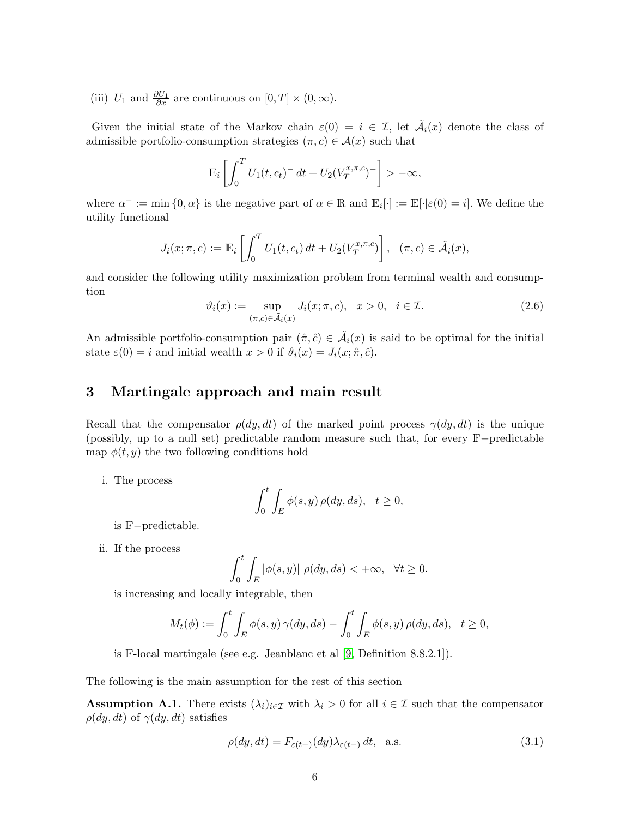(iii)  $U_1$  and  $\frac{\partial U_1}{\partial x}$  are continuous on  $[0, T] \times (0, \infty)$ .

Given the initial state of the Markov chain  $\varepsilon(0) = i \in \mathcal{I}$ , let  $\tilde{\mathcal{A}}_i(x)$  denote the class of admissible portfolio-consumption strategies  $(\pi, c) \in \mathcal{A}(x)$  such that

$$
\mathbb{E}_i\left[\int_0^T U_1(t,c_t)^{-} dt + U_2(V_T^{x,\pi,c})^{-}\right] > -\infty,
$$

where  $\alpha^- := \min\{0, \alpha\}$  is the negative part of  $\alpha \in \mathbb{R}$  and  $\mathbb{E}_i[\cdot] := \mathbb{E}[\cdot | \varepsilon(0) = i]$ . We define the utility functional

$$
J_i(x; \pi, c) := \mathbb{E}_i \left[ \int_0^T U_1(t, c_t) dt + U_2(V_T^{x, \pi, c}) \right], \quad (\pi, c) \in \tilde{\mathcal{A}}_i(x),
$$

and consider the following utility maximization problem from terminal wealth and consumption

<span id="page-5-2"></span>
$$
\vartheta_i(x) := \sup_{(\pi, c) \in \tilde{\mathcal{A}}_i(x)} J_i(x; \pi, c), \quad x > 0, \quad i \in \mathcal{I}.
$$
\n(2.6)

An admissible portfolio-consumption pair  $(\hat{\pi}, \hat{c}) \in \tilde{\mathcal{A}}_i(x)$  is said to be optimal for the initial state  $\varepsilon(0) = i$  and initial wealth  $x > 0$  if  $\vartheta_i(x) = J_i(x; \hat{\pi}, \hat{c})$ .

## 3 Martingale approach and main result

Recall that the compensator  $\rho(dy, dt)$  of the marked point process  $\gamma(dy, dt)$  is the unique (possibly, up to a null set) predictable random measure such that, for every <sup>F</sup>−predictable map  $\phi(t, y)$  the two following conditions hold

i. The process

$$
\int_0^t \int_E \phi(s, y) \, \rho(dy, ds), \quad t \ge 0,
$$

- is <sup>F</sup>−predictable.
- ii. If the process

$$
\int_0^t \int_E |\phi(s, y)| \rho(dy, ds) < +\infty, \quad \forall t \ge 0.
$$

is increasing and locally integrable, then

$$
M_t(\phi) := \int_0^t \int_E \phi(s, y) \gamma(dy, ds) - \int_0^t \int_E \phi(s, y) \rho(dy, ds), \quad t \ge 0,
$$

is F-local martingale (see e.g. Jeanblanc et al [\[9,](#page-22-13) Definition 8.8.2.1]).

The following is the main assumption for the rest of this section

<span id="page-5-1"></span>**Assumption A.1.** There exists  $(\lambda_i)_{i\in\mathcal{I}}$  with  $\lambda_i > 0$  for all  $i \in \mathcal{I}$  such that the compensator  $\rho(dy, dt)$  of  $\gamma(dy, dt)$  satisfies

<span id="page-5-0"></span>
$$
\rho(dy, dt) = F_{\varepsilon(t-)}(dy)\lambda_{\varepsilon(t-)} dt, \quad \text{a.s.} \tag{3.1}
$$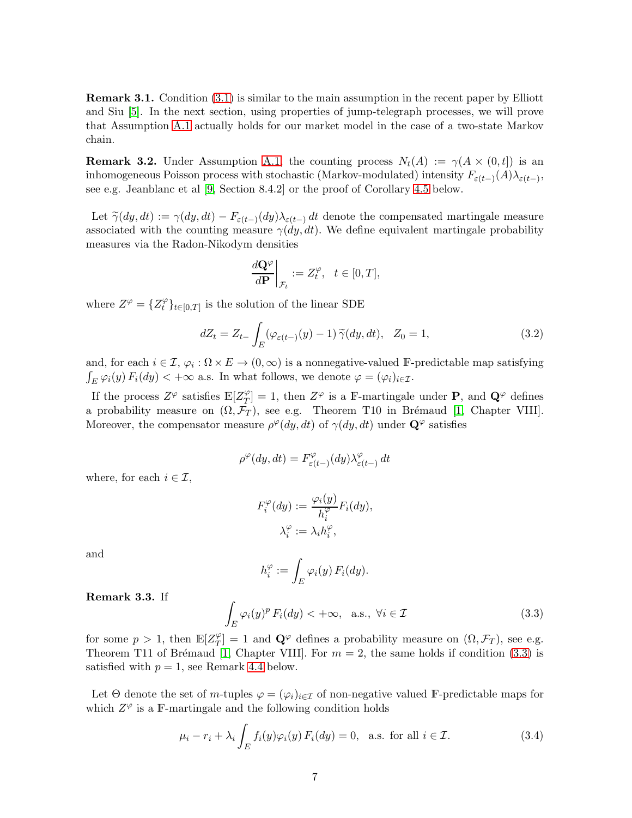**Remark 3.1.** Condition [\(3.1\)](#page-5-0) is similar to the main assumption in the recent paper by Elliott and Siu [\[5\]](#page-22-11). In the next section, using properties of jump-telegraph processes, we will prove that Assumption [A.1](#page-5-1) actually holds for our market model in the case of a two-state Markov chain.

**Remark 3.2.** Under Assumption [A.1,](#page-5-1) the counting process  $N_t(A) := \gamma(A \times (0,t])$  is an inhomogeneous Poisson process with stochastic (Markov-modulated) intensity  $F_{\varepsilon(t-)}(A)\lambda_{\varepsilon(t-)}$ , see e.g. Jeanblanc et al [\[9,](#page-22-13) Section 8.4.2] or the proof of Corollary [4.5](#page-15-0) below.

Let  $\widetilde{\gamma}(dy, dt) := \gamma(dy, dt) - F_{\varepsilon(t-)}(dy) \lambda_{\varepsilon(t-)} dt$  denote the compensated martingale measure associated with the counting measure  $\gamma(dy, dt)$ . We define equivalent martingale probability measures via the Radon-Nikodym densities

$$
\left. \frac{d\mathbf{Q}^{\varphi}}{d\mathbf{P}} \right|_{\mathcal{F}_t} := Z_t^{\varphi}, \ \ t \in [0, T],
$$

where  $Z^{\varphi} = \{Z_t^{\varphi}\}\$  $\mathcal{L}_{t}^{\varphi}$ <sub>t</sub><sub> $t \in [0,T]$ </sub> is the solution of the linear SDE

<span id="page-6-2"></span>
$$
dZ_t = Z_{t-} \int_E (\varphi_{\varepsilon(t-)}(y) - 1) \widetilde{\gamma}(dy, dt), \quad Z_0 = 1,
$$
\n(3.2)

and, for each  $i \in \mathcal{I}$ ,  $\varphi_i : \Omega \times E \to (0, \infty)$  is a nonnegative-valued F-predictable map satisfying  $\int_E \varphi_i(y) F_i(dy) < +\infty$  a.s. In what follows, we denote  $\varphi = (\varphi_i)_{i \in \mathcal{I}}$ .

If the process  $Z^{\varphi}$  satisfies  $\mathbb{E}[Z^{\varphi}_T]$  $T(T/T) = 1$ , then  $Z^{\varphi}$  is a F-martingale under **P**, and  $\mathbf{Q}^{\varphi}$  defines a probability measure on  $(\Omega, \mathcal{F}_T)$ , see e.g. Theorem T10 in Brémaud [\[1,](#page-22-14) Chapter VIII]. Moreover, the compensator measure  $\rho^{\varphi}(dy, dt)$  of  $\gamma(dy, dt)$  under  $\mathbf{Q}^{\varphi}$  satisfies

$$
\rho^{\varphi}(dy, dt) = F^{\varphi}_{\varepsilon(t-)}(dy) \lambda^{\varphi}_{\varepsilon(t-)} dt
$$

where, for each  $i \in \mathcal{I}$ ,

$$
F_i^{\varphi}(dy) := \frac{\varphi_i(y)}{h_i^{\varphi}} F_i(dy),
$$
  

$$
\lambda_i^{\varphi} := \lambda_i h_i^{\varphi},
$$

and

$$
h_i^{\varphi} := \int_E \varphi_i(y) \, F_i(dy).
$$

<span id="page-6-3"></span>Remark 3.3. If

<span id="page-6-0"></span>
$$
\int_{E} \varphi_i(y)^p F_i(dy) < +\infty, \text{ a.s., } \forall i \in \mathcal{I}
$$
\n(3.3)

for some  $p > 1$ , then  $\mathbb{E}[Z_T^{\varphi}]$  $T(T) = 1$  and  $\mathbf{Q}^{\varphi}$  defines a probability measure on  $(\Omega, \mathcal{F}_T)$ , see e.g. Theorem T11 of Brémaud [\[1,](#page-22-14) Chapter VIII]. For  $m = 2$ , the same holds if condition [\(3.3\)](#page-6-0) is satisfied with  $p = 1$ , see Remark [4.4](#page-15-1) below.

Let  $\Theta$  denote the set of m-tuples  $\varphi = (\varphi_i)_{i \in \mathcal{I}}$  of non-negative valued F-predictable maps for which  $Z^{\varphi}$  is a F-martingale and the following condition holds

<span id="page-6-1"></span>
$$
\mu_i - r_i + \lambda_i \int_E f_i(y) \varphi_i(y) F_i(dy) = 0, \text{ a.s. for all } i \in \mathcal{I}.
$$
 (3.4)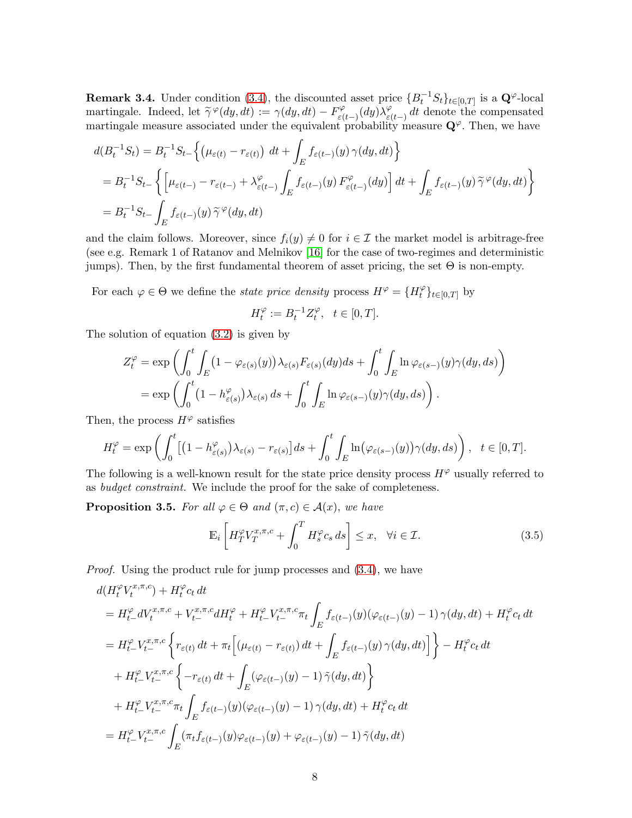**Remark 3.4.** Under condition [\(3.4\)](#page-6-1), the discounted asset price  ${B_t^{-1}S_t}_{t\in[0,T]}$  is a  $\mathbf{Q}^{\varphi}$ -local martingale. Indeed, let  $\widetilde{\gamma}^{\varphi}(dy, dt) := \gamma(dy, dt) - F^{\varphi}_{\varepsilon}(dx)$  $\bar{\lambda}_{\varepsilon(t-)}^\varphi(dy) \bar{\lambda}_{\varepsilon(t)}^\varphi$  $\frac{\varphi}{\varepsilon(t-)} dt$  denote the compensated martingale measure associated under the equivalent probability measure  $\mathbf{Q}^{\varphi}$ . Then, we have

$$
d(B_t^{-1}S_t) = B_t^{-1}S_{t-} \left\{ \left( \mu_{\varepsilon(t)} - r_{\varepsilon(t)} \right) dt + \int_E f_{\varepsilon(t-)}(y) \gamma(dy, dt) \right\}
$$
  
=  $B_t^{-1}S_{t-} \left\{ \left[ \mu_{\varepsilon(t-)} - r_{\varepsilon(t-)} + \lambda_{\varepsilon(t-)}^{\varphi} \int_E f_{\varepsilon(t-)}(y) F_{\varepsilon(t-)}^{\varphi}(dy) \right] dt + \int_E f_{\varepsilon(t-)}(y) \tilde{\gamma}^{\varphi}(dy, dt) \right\}$   
=  $B_t^{-1}S_{t-} \int_E f_{\varepsilon(t-)}(y) \tilde{\gamma}^{\varphi}(dy, dt)$ 

and the claim follows. Moreover, since  $f_i(y) \neq 0$  for  $i \in \mathcal{I}$  the market model is arbitrage-free (see e.g. Remark 1 of Ratanov and Melnikov [\[16\]](#page-22-15) for the case of two-regimes and deterministic jumps). Then, by the first fundamental theorem of asset pricing, the set  $\Theta$  is non-empty.

For each  $\varphi \in \Theta$  we define the *state price density* process  $H^{\varphi} = \{H_t^{\varphi}\}$  $t^{\varphi}\}_{t\in[0,T]}$  by

$$
H_t^{\varphi} := B_t^{-1} Z_t^{\varphi}, \quad t \in [0, T].
$$

The solution of equation [\(3.2\)](#page-6-2) is given by

$$
Z_t^{\varphi} = \exp\left(\int_0^t \int_E (1 - \varphi_{\varepsilon(s)}(y)) \lambda_{\varepsilon(s)} F_{\varepsilon(s)}(dy) ds + \int_0^t \int_E \ln \varphi_{\varepsilon(s-)}(y) \gamma(dy, ds)\right)
$$
  
= 
$$
\exp\left(\int_0^t (1 - h_{\varepsilon(s)}^{\varphi}) \lambda_{\varepsilon(s)} ds + \int_0^t \int_E \ln \varphi_{\varepsilon(s-)}(y) \gamma(dy, ds)\right).
$$

Then, the process  $H^{\varphi}$  satisfies

$$
H_t^{\varphi} = \exp\left(\int_0^t \left[ (1 - h_{\varepsilon(s)}^{\varphi}) \lambda_{\varepsilon(s)} - r_{\varepsilon(s)} \right] ds + \int_0^t \int_E \ln(\varphi_{\varepsilon(s-)}(y)) \gamma(dy, ds) \right), \quad t \in [0, T].
$$

The following is a well-known result for the state price density process  $H^{\varphi}$  usually referred to as budget constraint. We include the proof for the sake of completeness.

**Proposition 3.5.** For all  $\varphi \in \Theta$  and  $(\pi, c) \in \mathcal{A}(x)$ , we have

<span id="page-7-0"></span>
$$
\mathbb{E}_{i}\left[H_{T}^{\varphi}V_{T}^{x,\pi,c}+\int_{0}^{T}H_{s}^{\varphi}c_{s}ds\right]\leq x,\quad\forall i\in\mathcal{I}.\tag{3.5}
$$

Proof. Using the product rule for jump processes and [\(3.4\)](#page-6-1), we have

$$
d(H_t^{\varphi} V_t^{x,\pi,c}) + H_t^{\varphi} c_t dt
$$
  
\n
$$
= H_{t-}^{\varphi} dV_t^{x,\pi,c} + V_{t-}^{x,\pi,c} dH_t^{\varphi} + H_{t-}^{\varphi} V_{t-}^{x,\pi,c} \pi_t \int_E f_{\varepsilon(t-)}(y) (\varphi_{\varepsilon(t-)}(y) - 1) \gamma(dy, dt) + H_t^{\varphi} c_t dt
$$
  
\n
$$
= H_{t-}^{\varphi} V_{t-}^{x,\pi,c} \left\{ r_{\varepsilon(t)} dt + \pi_t \Big[ (\mu_{\varepsilon(t)} - r_{\varepsilon(t)}) dt + \int_E f_{\varepsilon(t-)}(y) \gamma(dy, dt) \Big] \right\} - H_t^{\varphi} c_t dt
$$
  
\n
$$
+ H_t^{\varphi} V_{t-}^{x,\pi,c} \left\{ -r_{\varepsilon(t)} dt + \int_E (\varphi_{\varepsilon(t-)}(y) - 1) \tilde{\gamma}(dy, dt) \right\}
$$
  
\n
$$
+ H_t^{\varphi} V_{t-}^{x,\pi,c} \pi_t \int_E f_{\varepsilon(t-)}(y) (\varphi_{\varepsilon(t-)}(y) - 1) \gamma(dy, dt) + H_t^{\varphi} c_t dt
$$
  
\n
$$
= H_{t-}^{\varphi} V_{t-}^{x,\pi,c} \int_E (\pi_t f_{\varepsilon(t-)}(y) \varphi_{\varepsilon(t-)}(y) + \varphi_{\varepsilon(t-)}(y) - 1) \tilde{\gamma}(dy, dt)
$$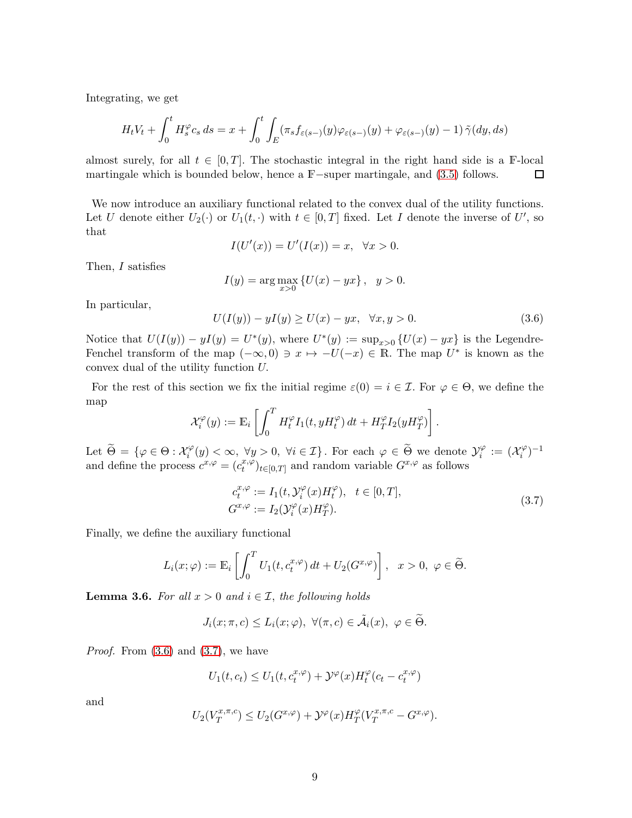Integrating, we get

$$
H_t V_t + \int_0^t H_s^{\varphi} c_s ds = x + \int_0^t \int_E (\pi_s f_{\varepsilon(s-)}(y) \varphi_{\varepsilon(s-)}(y) + \varphi_{\varepsilon(s-)}(y) - 1) \tilde{\gamma}(dy, ds)
$$

almost surely, for all  $t \in [0, T]$ . The stochastic integral in the right hand side is a F-local martingale which is bounded below, hence a F-super martingale, and (3.5) follows. martingale which is bounded below, hence a <sup>F</sup>−super martingale, and [\(3.5\)](#page-7-0) follows.

We now introduce an auxiliary functional related to the convex dual of the utility functions. Let U denote either  $U_2(\cdot)$  or  $U_1(t, \cdot)$  with  $t \in [0, T]$  fixed. Let I denote the inverse of U', so that

$$
I(U'(x)) = U'(I(x)) = x, \quad \forall x > 0.
$$

Then, I satisfies

$$
I(y) = \arg \max_{x>0} \{ U(x) - yx \}, \ \ y > 0.
$$

In particular,

<span id="page-8-0"></span>
$$
U(I(y)) - yI(y) \ge U(x) - yx, \quad \forall x, y > 0. \tag{3.6}
$$

Notice that  $U(I(y)) - yI(y) = U^*(y)$ , where  $U^*(y) := \sup_{x>0} \{U(x) - yx\}$  is the Legendre-Fenchel transform of the map  $(-\infty,0) \ni x \mapsto -U(-x) \in \mathbb{R}$ . The map  $U^*$  is known as the convex dual of the utility function U.

For the rest of this section we fix the initial regime  $\varepsilon(0) = i \in \mathcal{I}$ . For  $\varphi \in \Theta$ , we define the map

$$
\mathcal{X}_i^{\varphi}(y) := \mathbb{E}_i \left[ \int_0^T H_t^{\varphi} I_1(t, y H_t^{\varphi}) dt + H_T^{\varphi} I_2(y H_T^{\varphi}) \right].
$$

Let  $\widetilde{\Theta} = \{ \varphi \in \Theta : \mathcal{X}_i^{\varphi} \}$  $\mathcal{Y}_i^{\varphi}(y) < \infty, \ \forall y > 0, \ \forall i \in \mathcal{I} \}$ . For each  $\varphi \in \widetilde{\Theta}$  we denote  $\mathcal{Y}_i^{\varphi}$  $\alpha_i^{\varphi} := (\mathcal{X}_i^{\varphi})$  $\binom{1}{i}$ and define the process  $c^{x,\varphi} = (c_t^{x,\varphi})$  $(t^{x,\varphi}_{t})_{t\in[0,T]}$  and random variable  $G^{x,\varphi}$  as follows

$$
c_t^{x,\varphi} := I_1(t, \mathcal{Y}_i^{\varphi}(x)H_t^{\varphi}), \quad t \in [0,T],
$$
  
\n
$$
G^{x,\varphi} := I_2(\mathcal{Y}_i^{\varphi}(x)H_T^{\varphi}).
$$
\n(3.7)

<span id="page-8-1"></span>Finally, we define the auxiliary functional

$$
L_i(x; \varphi) := \mathbb{E}_i \left[ \int_0^T U_1(t, c_t^{x, \varphi}) dt + U_2(G^{x, \varphi}) \right], \quad x > 0, \ \varphi \in \widetilde{\Theta}.
$$

<span id="page-8-2"></span>**Lemma 3.6.** For all  $x > 0$  and  $i \in \mathcal{I}$ , the following holds

$$
J_i(x; \pi, c) \le L_i(x; \varphi), \ \forall (\pi, c) \in \tilde{\mathcal{A}}_i(x), \ \varphi \in \tilde{\Theta}.
$$

*Proof.* From  $(3.6)$  and  $(3.7)$ , we have

$$
U_1(t, c_t) \le U_1(t, c_t^{x, \varphi}) + \mathcal{Y}^{\varphi}(x) H_t^{\varphi}(c_t - c_t^{x, \varphi})
$$

and

$$
U_2(V_T^{x,\pi,c}) \le U_2(G^{x,\varphi}) + \mathcal{Y}^{\varphi}(x)H_T^{\varphi}(V_T^{x,\pi,c} - G^{x,\varphi}).
$$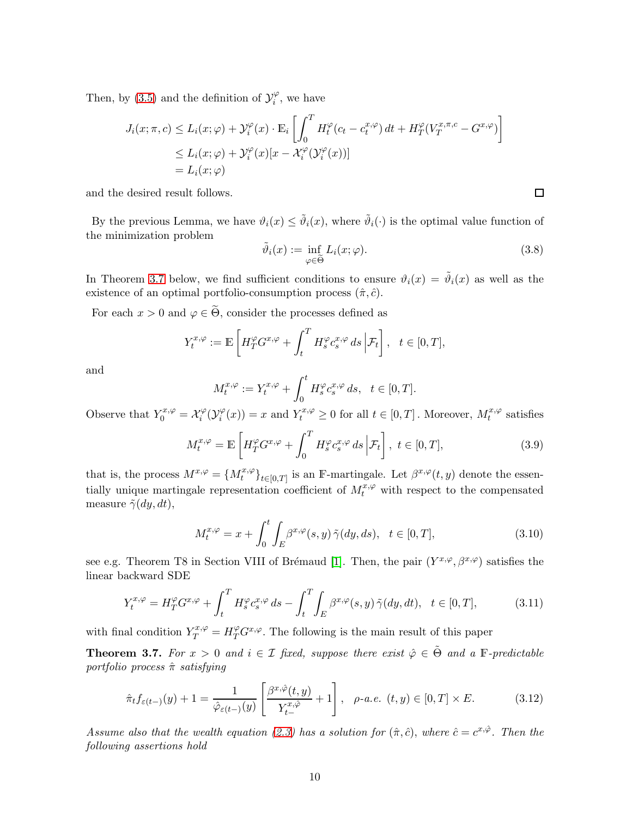Then, by [\(3.5\)](#page-7-0) and the definition of  $\mathcal{Y}^{\varphi}_i$  $i^{\varphi}$ , we have

$$
J_i(x; \pi, c) \le L_i(x; \varphi) + \mathcal{Y}_i^{\varphi}(x) \cdot \mathbb{E}_i \left[ \int_0^T H_t^{\varphi}(c_t - c_t^{x, \varphi}) dt + H_T^{\varphi}(V_T^{x, \pi, c} - G^{x, \varphi}) \right]
$$
  
\n
$$
\le L_i(x; \varphi) + \mathcal{Y}_i^{\varphi}(x)[x - \mathcal{X}_i^{\varphi}(\mathcal{Y}_i^{\varphi}(x))]
$$
  
\n
$$
= L_i(x; \varphi)
$$

and the desired result follows.

By the previous Lemma, we have  $\vartheta_i(x) \leq \tilde{\vartheta}_i(x)$ , where  $\tilde{\vartheta}_i(\cdot)$  is the optimal value function of the minimization problem

$$
\tilde{\vartheta}_i(x) := \inf_{\varphi \in \tilde{\Theta}} L_i(x; \varphi).
$$
\n(3.8)

In Theorem [3.7](#page-9-0) below, we find sufficient conditions to ensure  $\vartheta_i(x) = \tilde{\vartheta}_i(x)$  as well as the existence of an optimal portfolio-consumption process  $(\hat{\pi}, \hat{c})$ .

For each  $x > 0$  and  $\varphi \in \widetilde{\Theta}$ , consider the processes defined as

$$
Y_t^{x,\varphi} := \mathbb{E}\left[H_T^{\varphi}G^{x,\varphi} + \int_t^T H_s^{\varphi}c_s^{x,\varphi} ds \, \Big|\mathcal{F}_t\right], \quad t \in [0,T],
$$

and

$$
M_t^{x,\varphi} := Y_t^{x,\varphi} + \int_0^t H_s^{\varphi} c_s^{x,\varphi} ds, \quad t \in [0,T].
$$

Observe that  $Y_0^{x,\varphi} = \mathcal{X}_i^{\varphi}$  $\tilde{C}_i^\varphi(\mathcal{Y}_i^\varphi)$  $\psi_i^{\varphi}(x)$  = x and  $Y_t^{x,\varphi} \ge 0$  for all  $t \in [0,T]$ . Moreover,  $M_t^{x,\varphi}$  $t^{x,\varphi}$  satisfies

$$
M_t^{x,\varphi} = \mathbb{E}\left[H_T^{\varphi}G^{x,\varphi} + \int_0^T H_s^{\varphi}c_s^{x,\varphi} ds \, \Big|\mathcal{F}_t\right], \ t \in [0,T],\tag{3.9}
$$

that is, the process  $M^{x,\varphi} = \{M_t^{x,\varphi}\}_{t\in[0,T]}$  is an F-martingale. Let  $\beta^{x,\varphi}(t,y)$  denote the essentially unique martingale representation coefficient of  $M_t^{x,\varphi}$  with respect to the compensated measure  $\tilde{\gamma}(dy, dt)$ ,

$$
M_t^{x,\varphi} = x + \int_0^t \int_E \beta^{x,\varphi}(s,y) \,\tilde{\gamma}(dy,ds), \quad t \in [0,T], \tag{3.10}
$$

see e.g. Theorem T8 in Section VIII of Brémaud [\[1\]](#page-22-14). Then, the pair  $(Y^{x,\varphi}, \beta^{x,\varphi})$  satisfies the linear backward SDE

<span id="page-9-1"></span>
$$
Y_t^{x,\varphi} = H_T^{\varphi} G^{x,\varphi} + \int_t^T H_s^{\varphi} c_s^{x,\varphi} ds - \int_t^T \int_E \beta^{x,\varphi}(s,y) \,\tilde{\gamma}(dy,dt), \quad t \in [0,T],\tag{3.11}
$$

with final condition  $Y_T^{x,\varphi} = H_T^{\varphi} G^{x,\varphi}$ . The following is the main result of this paper

<span id="page-9-0"></span>**Theorem 3.7.** For  $x > 0$  and  $i \in \mathcal{I}$  fixed, suppose there exist  $\hat{\varphi} \in \tilde{\Theta}$  and a F-predictable portfolio process  $\hat{\pi}$  satisfying

<span id="page-9-2"></span>
$$
\hat{\pi}_t f_{\varepsilon(t-)}(y) + 1 = \frac{1}{\hat{\varphi}_{\varepsilon(t-)}(y)} \left[ \frac{\beta^{x,\hat{\varphi}}(t,y)}{Y_{t-}^{x,\hat{\varphi}}} + 1 \right], \quad \rho\text{-}a.e. \ \ (t,y) \in [0,T] \times E. \tag{3.12}
$$

Assume also that the wealth equation [\(2.3\)](#page-3-0) has a solution for  $(\hat{\pi}, \hat{c})$ , where  $\hat{c} = c^{x, \hat{\varphi}}$ . Then the following assertions hold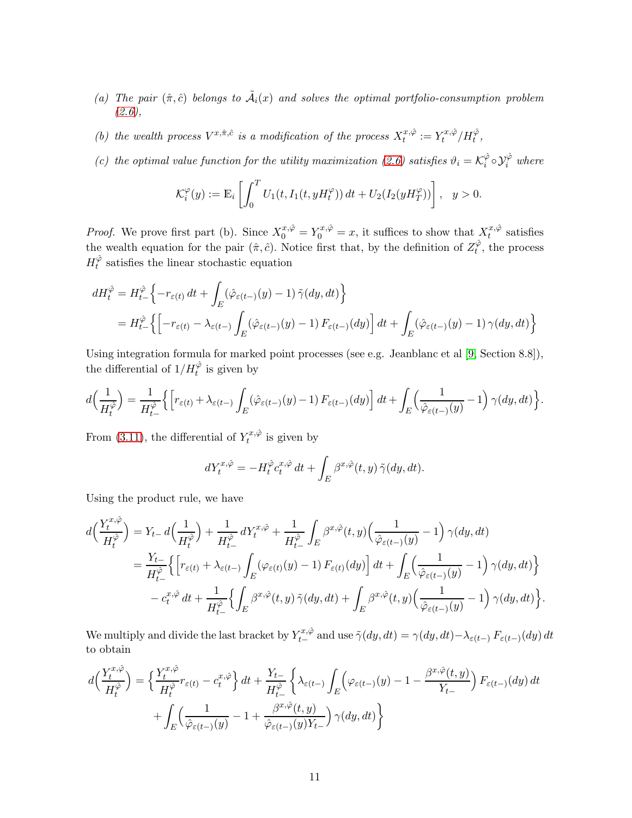- (a) The pair  $(\hat{\pi}, \hat{c})$  belongs to  $\tilde{A}_i(x)$  and solves the optimal portfolio-consumption problem  $(2.6),$  $(2.6),$
- (b) the wealth process  $V^{x,\hat{\pi},\hat{c}}$  is a modification of the process  $X_t^{x,\hat{\varphi}}$  $t^{x,\hat{\varphi}}:=Y^{x,\hat{\varphi}}_t$  $t^{x,\hat\varphi}/H_t^{\hat\varphi},$
- (c) the optimal value function for the utility maximization [\(2.6\)](#page-5-2) satisfies  $\vartheta_i = \mathcal{K}_i^{\hat{\varphi}}$  $\hat{\varphi}_i \circ \mathcal{Y}_i^{\hat{\varphi}}$  where

$$
\mathcal{K}_i^{\varphi}(y) := \mathbb{E}_i \left[ \int_0^T U_1(t, I_1(t, yH_t^{\varphi})) dt + U_2(I_2(yH_T^{\varphi})) \right], \quad y > 0.
$$

*Proof.* We prove first part (b). Since  $X_0^{x,\hat{\varphi}} = Y_0^{x,\hat{\varphi}} = x$ , it suffices to show that  $X_t^{x,\hat{\varphi}}$  $t^{x,\varphi}$  satisfies the wealth equation for the pair  $(\hat{\pi}, \hat{c})$ . Notice first that, by the definition of  $Z_t^{\hat{\varphi}}$  $t^{\varphi}$ , the process  $H_t^{\hat{\varphi}}$  $t<sub>t</sub><sup>\varphi</sup>$  satisfies the linear stochastic equation

$$
dH_t^{\hat{\varphi}} = H_{t-}^{\hat{\varphi}} \left\{ -r_{\varepsilon(t)} dt + \int_E (\hat{\varphi}_{\varepsilon(t-)}(y) - 1) \, \tilde{\gamma}(dy, dt) \right\}
$$
  
=  $H_{t-}^{\hat{\varphi}} \left\{ \left[ -r_{\varepsilon(t)} - \lambda_{\varepsilon(t-)} \int_E (\hat{\varphi}_{\varepsilon(t-)}(y) - 1) F_{\varepsilon(t-)}(dy) \right] dt + \int_E (\hat{\varphi}_{\varepsilon(t-)}(y) - 1) \, \gamma(dy, dt) \right\}$ 

Using integration formula for marked point processes (see e.g. Jeanblanc et al [\[9,](#page-22-13) Section 8.8]), the differential of  $1/H_t^{\hat{\varphi}}$  is given by

$$
d\Big(\frac{1}{H_t^{\hat{\varphi}}}\Big) = \frac{1}{H_{t-}^{\hat{\varphi}}}\Big\{ \Big[r_{\varepsilon(t)} + \lambda_{\varepsilon(t-)}\int_E(\hat{\varphi}_{\varepsilon(t-)}(y) - 1) F_{\varepsilon(t-)}(dy)\Big]\,dt + \int_E\Big(\frac{1}{\hat{\varphi}_{\varepsilon(t-)}(y)} - 1\Big)\,\gamma(dy,dt)\Big\}.
$$

From [\(3.11\)](#page-9-1), the differential of  $Y_t^{x,\hat{\varphi}}$  $t^{x,\varphi}$  is given by

$$
dY_t^{x,\hat{\varphi}} = -H_t^{\hat{\varphi}} c_t^{x,\hat{\varphi}} dt + \int_E \beta^{x,\hat{\varphi}}(t,y) \, \tilde{\gamma}(dy, dt).
$$

Using the product rule, we have

$$
d\left(\frac{Y_t^{x,\hat{\varphi}}}{H_t^{\hat{\varphi}}}\right) = Y_{t-} d\left(\frac{1}{H_t^{\hat{\varphi}}}\right) + \frac{1}{H_{t-}^{\hat{\varphi}}} dY_t^{x,\hat{\varphi}} + \frac{1}{H_{t-}^{\hat{\varphi}}}\int_E \beta^{x,\hat{\varphi}}(t,y) \left(\frac{1}{\hat{\varphi}_{\varepsilon(t-)}(y)} - 1\right) \gamma(dy, dt)
$$
  
\n
$$
= \frac{Y_{t-}}{H_{t-}^{\hat{\varphi}}}\Big\{ \Big[r_{\varepsilon(t)} + \lambda_{\varepsilon(t-)}\int_E (\varphi_{\varepsilon(t)}(y) - 1) F_{\varepsilon(t)}(dy)\Big] dt + \int_E \left(\frac{1}{\hat{\varphi}_{\varepsilon(t-)}(y)} - 1\right) \gamma(dy, dt) \Big\}
$$
  
\n
$$
- c_t^{x,\hat{\varphi}} dt + \frac{1}{H_{t-}^{\hat{\varphi}}} \Big\{ \int_E \beta^{x,\hat{\varphi}}(t,y) \,\tilde{\gamma}(dy, dt) + \int_E \beta^{x,\hat{\varphi}}(t,y) \Big(\frac{1}{\hat{\varphi}_{\varepsilon(t-)}(y)} - 1\Big) \,\gamma(dy, dt) \Big\}.
$$

We multiply and divide the last bracket by  $Y_{t-}^{x,\hat{\varphi}}$  and use  $\tilde{\gamma}(dy,dt) = \gamma(dy,dt) - \lambda_{\varepsilon(t-)} F_{\varepsilon(t-)}(dy) dt$ to obtain

$$
d\left(\frac{Y_t^{x,\hat{\varphi}}}{H_t^{\hat{\varphi}}}\right) = \left\{\frac{Y_t^{x,\hat{\varphi}}}{H_t^{\hat{\varphi}}}r_{\varepsilon(t)} - c_t^{x,\hat{\varphi}}\right\}dt + \frac{Y_{t-}}{H_{t-}^{\hat{\varphi}}}\left\{\lambda_{\varepsilon(t-)}\int_E\left(\varphi_{\varepsilon(t-)}(y) - 1 - \frac{\beta^{x,\hat{\varphi}}(t,y)}{Y_{t-}}\right)F_{\varepsilon(t-)}(dy) dt + \int_E\left(\frac{1}{\hat{\varphi}_{\varepsilon(t-)}(y)} - 1 + \frac{\beta^{x,\hat{\varphi}}(t,y)}{\hat{\varphi}_{\varepsilon(t-)}(y)Y_{t-}}\right)\gamma(dy,dt)\right\}
$$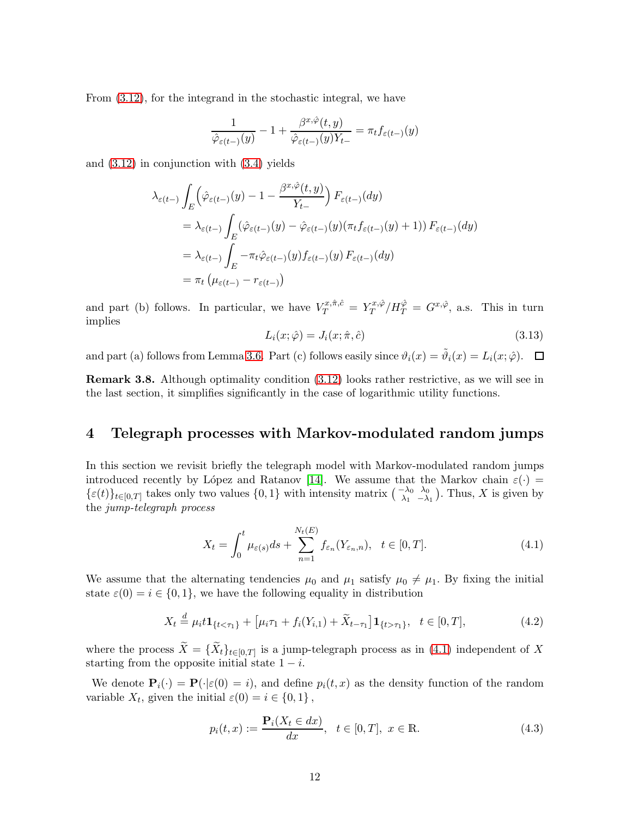From [\(3.12\)](#page-9-2), for the integrand in the stochastic integral, we have

$$
\frac{1}{\hat{\varphi}_{\varepsilon(t-)}(y)} - 1 + \frac{\beta^{x,\hat{\varphi}}(t,y)}{\hat{\varphi}_{\varepsilon(t-)}(y)Y_{t-}} = \pi_t f_{\varepsilon(t-)}(y)
$$

and [\(3.12\)](#page-9-2) in conjunction with [\(3.4\)](#page-6-1) yields

$$
\lambda_{\varepsilon(t-)} \int_{E} \left( \hat{\varphi}_{\varepsilon(t-)}(y) - 1 - \frac{\beta^{x,\hat{\varphi}}(t,y)}{Y_{t-}} \right) F_{\varepsilon(t-)}(dy)
$$
  
\n
$$
= \lambda_{\varepsilon(t-)} \int_{E} (\hat{\varphi}_{\varepsilon(t-)}(y) - \hat{\varphi}_{\varepsilon(t-)}(y)(\pi_t f_{\varepsilon(t-)}(y) + 1)) F_{\varepsilon(t-)}(dy)
$$
  
\n
$$
= \lambda_{\varepsilon(t-)} \int_{E} -\pi_t \hat{\varphi}_{\varepsilon(t-)}(y) f_{\varepsilon(t-)}(y) F_{\varepsilon(t-)}(dy)
$$
  
\n
$$
= \pi_t \left( \mu_{\varepsilon(t-)} - r_{\varepsilon(t-)} \right)
$$

and part (b) follows. In particular, we have  $V_T^{x,\hat{\pi},\hat{c}} = Y_T^{x,\hat{\varphi}}$  $T^{x,\hat{\varphi}}_T/H^{\hat{\varphi}}_T = G^{x,\hat{\varphi}},$  a.s. This in turn implies

$$
L_i(x; \hat{\varphi}) = J_i(x; \hat{\pi}, \hat{c}) \tag{3.13}
$$

and part (a) follows from Lemma [3.6.](#page-8-2) Part (c) follows easily since  $\vartheta_i(x) = \tilde{\vartheta}_i(x) = L_i(x; \hat{\varphi})$ .

Remark 3.8. Although optimality condition [\(3.12\)](#page-9-2) looks rather restrictive, as we will see in the last section, it simplifies significantly in the case of logarithmic utility functions.

### 4 Telegraph processes with Markov-modulated random jumps

In this section we revisit briefly the telegraph model with Markov-modulated random jumps introduced recently by López and Ratanov [\[14\]](#page-22-0). We assume that the Markov chain  $\varepsilon(\cdot)$  =  $\{\varepsilon(t)\}_{t\in[0,T]}$  takes only two values  $\{0,1\}$  with intensity matrix  $\begin{pmatrix} -\lambda_0 & \lambda_0 \\ \lambda_1 & -\lambda_1 \end{pmatrix}$ . Thus, X is given by the jump-telegraph process

<span id="page-11-0"></span>
$$
X_t = \int_0^t \mu_{\varepsilon(s)} ds + \sum_{n=1}^{N_t(E)} f_{\varepsilon_n}(Y_{\varepsilon_n, n}), \quad t \in [0, T]. \tag{4.1}
$$

We assume that the alternating tendencies  $\mu_0$  and  $\mu_1$  satisfy  $\mu_0 \neq \mu_1$ . By fixing the initial state  $\varepsilon(0) = i \in \{0, 1\}$ , we have the following equality in distribution

<span id="page-11-1"></span>
$$
X_t \stackrel{d}{=} \mu_i t \mathbf{1}_{\{t < \tau_1\}} + \left[ \mu_i \tau_1 + f_i(Y_{i,1}) + \widetilde{X}_{t-\tau_1} \right] \mathbf{1}_{\{t > \tau_1\}}, \quad t \in [0, T], \tag{4.2}
$$

where the process  $X = \{X_t\}_{t\in[0,T]}$  is a jump-telegraph process as in [\(4.1\)](#page-11-0) independent of X starting from the opposite initial state  $1 - i$ .

We denote  $P_i(\cdot) = P(\cdot | \varepsilon(0) = i)$ , and define  $p_i(t, x)$  as the density function of the random variable  $X_t$ , given the initial  $\varepsilon(0) = i \in \{0, 1\}$ ,

$$
p_i(t, x) := \frac{\mathbf{P}_i(X_t \in dx)}{dx}, \ \ t \in [0, T], \ x \in \mathbb{R}.
$$
 (4.3)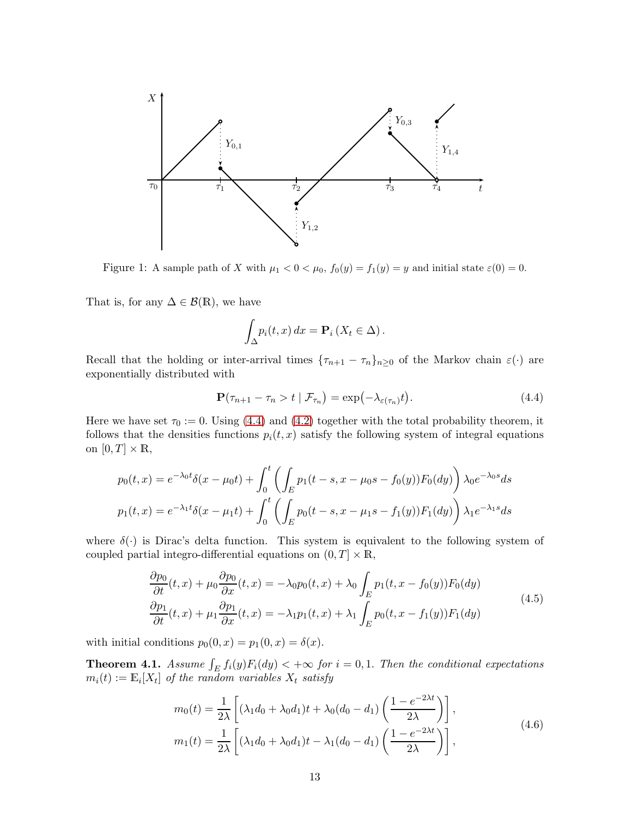

Figure 1: A sample path of X with  $\mu_1 < 0 < \mu_0$ ,  $f_0(y) = f_1(y) = y$  and initial state  $\varepsilon(0) = 0$ .

That is, for any  $\Delta \in \mathcal{B}(\mathbb{R})$ , we have

$$
\int_{\Delta} p_i(t, x) dx = \mathbf{P}_i \left( X_t \in \Delta \right).
$$

Recall that the holding or inter-arrival times  ${\tau_{n+1} - \tau_n}_{n \geq 0}$  of the Markov chain  $\varepsilon(\cdot)$  are exponentially distributed with

<span id="page-12-0"></span>
$$
\mathbf{P}(\tau_{n+1} - \tau_n > t \mid \mathcal{F}_{\tau_n}) = \exp(-\lambda_{\varepsilon(\tau_n)}t). \tag{4.4}
$$

Here we have set  $\tau_0 := 0$ . Using [\(4.4\)](#page-12-0) and [\(4.2\)](#page-11-1) together with the total probability theorem, it follows that the densities functions  $p_i(t, x)$  satisfy the following system of integral equations on  $[0, T] \times \mathbb{R}$ ,

$$
p_0(t,x) = e^{-\lambda_0 t} \delta(x - \mu_0 t) + \int_0^t \left( \int_E p_1(t-s, x - \mu_0 s - f_0(y)) F_0(dy) \right) \lambda_0 e^{-\lambda_0 s} ds
$$
  

$$
p_1(t,x) = e^{-\lambda_1 t} \delta(x - \mu_1 t) + \int_0^t \left( \int_E p_0(t-s, x - \mu_1 s - f_1(y)) F_1(dy) \right) \lambda_1 e^{-\lambda_1 s} ds
$$

where  $\delta(\cdot)$  is Dirac's delta function. This system is equivalent to the following system of coupled partial integro-differential equations on  $(0, T] \times \mathbb{R}$ ,

$$
\frac{\partial p_0}{\partial t}(t, x) + \mu_0 \frac{\partial p_0}{\partial x}(t, x) = -\lambda_0 p_0(t, x) + \lambda_0 \int_E p_1(t, x - f_0(y)) F_0(dy)
$$
\n
$$
\frac{\partial p_1}{\partial t}(t, x) + \mu_1 \frac{\partial p_1}{\partial x}(t, x) = -\lambda_1 p_1(t, x) + \lambda_1 \int_E p_0(t, x - f_1(y)) F_1(dy)
$$
\n(4.5)

<span id="page-12-1"></span>with initial conditions  $p_0(0, x) = p_1(0, x) = \delta(x)$ .

<span id="page-12-3"></span><span id="page-12-2"></span>**Theorem 4.1.** Assume  $\int_E f_i(y) F_i(dy) < +\infty$  for  $i = 0, 1$ . Then the conditional expectations  $m_i(t) := \mathbb{E}_i[X_t]$  of the random variables  $X_t$  satisfy

$$
m_0(t) = \frac{1}{2\lambda} \left[ (\lambda_1 d_0 + \lambda_0 d_1)t + \lambda_0 (d_0 - d_1) \left( \frac{1 - e^{-2\lambda t}}{2\lambda} \right) \right],
$$
  
\n
$$
m_1(t) = \frac{1}{2\lambda} \left[ (\lambda_1 d_0 + \lambda_0 d_1)t - \lambda_1 (d_0 - d_1) \left( \frac{1 - e^{-2\lambda t}}{2\lambda} \right) \right],
$$
\n(4.6)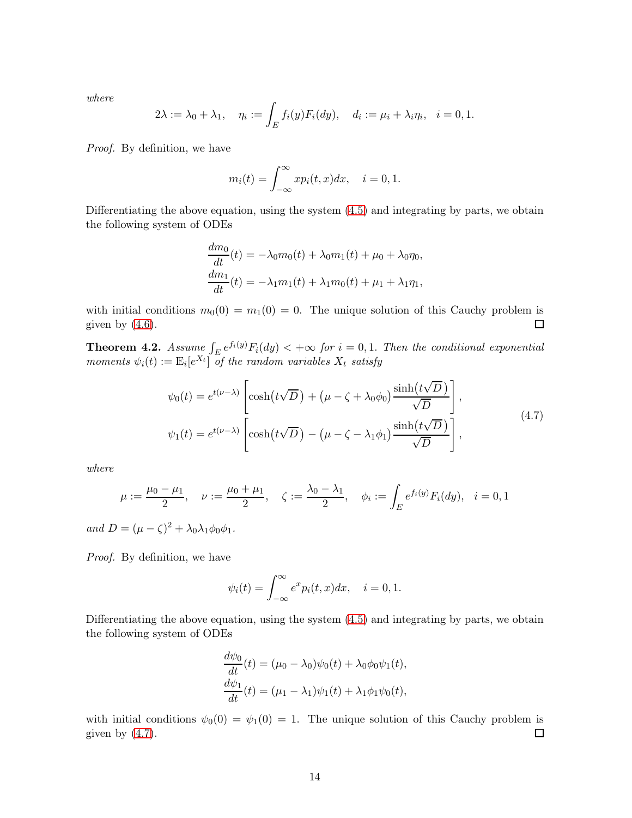where

$$
2\lambda := \lambda_0 + \lambda_1, \quad \eta_i := \int_E f_i(y) F_i(dy), \quad d_i := \mu_i + \lambda_i \eta_i, \quad i = 0, 1.
$$

Proof. By definition, we have

$$
m_i(t) = \int_{-\infty}^{\infty} x p_i(t, x) dx, \quad i = 0, 1.
$$

Differentiating the above equation, using the system [\(4.5\)](#page-12-1) and integrating by parts, we obtain the following system of ODEs

$$
\frac{dm_0}{dt}(t) = -\lambda_0 m_0(t) + \lambda_0 m_1(t) + \mu_0 + \lambda_0 \eta_0,
$$
  

$$
\frac{dm_1}{dt}(t) = -\lambda_1 m_1(t) + \lambda_1 m_0(t) + \mu_1 + \lambda_1 \eta_1,
$$

with initial conditions  $m_0(0) = m_1(0) = 0$ . The unique solution of this Cauchy problem is given by  $(4.6)$ .  $\Box$ 

<span id="page-13-1"></span>**Theorem 4.2.** Assume  $\int_E e^{f_i(y)} F_i(dy) < +\infty$  for  $i = 0, 1$ . Then the conditional exponential moments  $\psi_i(t) := \mathbb{E}_i[e^{X_t}]$  of the random variables  $X_t$  satisfy

$$
\psi_0(t) = e^{t(\nu-\lambda)} \left[ \cosh(t\sqrt{D}) + (\mu - \zeta + \lambda_0\phi_0) \frac{\sinh(t\sqrt{D})}{\sqrt{D}} \right],
$$
  
\n
$$
\psi_1(t) = e^{t(\nu-\lambda)} \left[ \cosh(t\sqrt{D}) - (\mu - \zeta - \lambda_1\phi_1) \frac{\sinh(t\sqrt{D})}{\sqrt{D}} \right],
$$
\n(4.7)

<span id="page-13-0"></span>where

$$
\mu := \frac{\mu_0 - \mu_1}{2}, \quad \nu := \frac{\mu_0 + \mu_1}{2}, \quad \zeta := \frac{\lambda_0 - \lambda_1}{2}, \quad \phi_i := \int_E e^{f_i(y)} F_i(dy), \quad i = 0, 1
$$

and  $D = (\mu - \zeta)^2 + \lambda_0 \lambda_1 \phi_0 \phi_1$ .

Proof. By definition, we have

$$
\psi_i(t) = \int_{-\infty}^{\infty} e^x p_i(t, x) dx, \quad i = 0, 1.
$$

Differentiating the above equation, using the system [\(4.5\)](#page-12-1) and integrating by parts, we obtain the following system of ODEs

$$
\frac{d\psi_0}{dt}(t) = (\mu_0 - \lambda_0)\psi_0(t) + \lambda_0\phi_0\psi_1(t),
$$
  
\n
$$
\frac{d\psi_1}{dt}(t) = (\mu_1 - \lambda_1)\psi_1(t) + \lambda_1\phi_1\psi_0(t),
$$

with initial conditions  $\psi_0(0) = \psi_1(0) = 1$ . The unique solution of this Cauchy problem is given by  $(4.7)$ .  $\Box$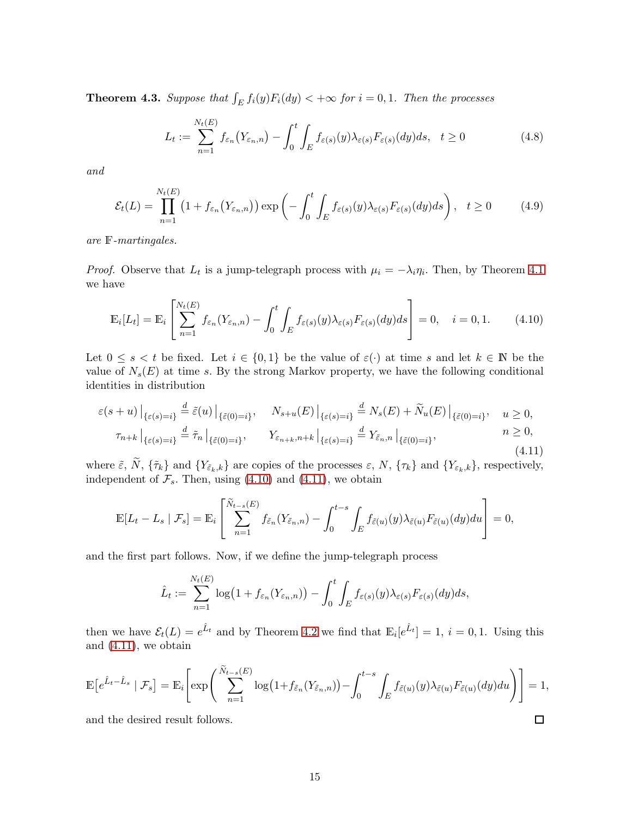<span id="page-14-2"></span>**Theorem 4.3.** Suppose that  $\int_E f_i(y) F_i(dy) < +\infty$  for  $i = 0, 1$ . Then the processes

$$
L_t := \sum_{n=1}^{N_t(E)} f_{\varepsilon_n}(Y_{\varepsilon_n, n}) - \int_0^t \int_E f_{\varepsilon(s)}(y) \lambda_{\varepsilon(s)} F_{\varepsilon(s)}(dy) ds, \quad t \ge 0
$$
\n(4.8)

and

$$
\mathcal{E}_t(L) = \prod_{n=1}^{N_t(E)} \left( 1 + f_{\varepsilon_n}(Y_{\varepsilon_n, n}) \right) \exp \left( - \int_0^t \int_E f_{\varepsilon(s)}(y) \lambda_{\varepsilon(s)} F_{\varepsilon(s)}(dy) ds \right), \quad t \ge 0 \tag{4.9}
$$

are F-martingales.

*Proof.* Observe that  $L_t$  is a jump-telegraph process with  $\mu_i = -\lambda_i \eta_i$ . Then, by Theorem [4.1](#page-12-3) we have

<span id="page-14-0"></span>
$$
\mathbb{E}_{i}[L_{t}] = \mathbb{E}_{i}\left[\sum_{n=1}^{N_{t}(E)} f_{\varepsilon_{n}}(Y_{\varepsilon_{n},n}) - \int_{0}^{t} \int_{E} f_{\varepsilon(s)}(y)\lambda_{\varepsilon(s)}F_{\varepsilon(s)}(dy)ds\right] = 0, \quad i = 0, 1.
$$
 (4.10)

Let  $0 \leq s < t$  be fixed. Let  $i \in \{0,1\}$  be the value of  $\varepsilon(\cdot)$  at time s and let  $k \in \mathbb{N}$  be the value of  $N_s(E)$  at time s. By the strong Markov property, we have the following conditional identities in distribution

<span id="page-14-1"></span>
$$
\varepsilon(s+u)\big|_{\{\varepsilon(s)=i\}} \stackrel{d}{=} \tilde{\varepsilon}(u)\big|_{\{\tilde{\varepsilon}(0)=i\}}, \quad N_{s+u}(E)\big|_{\{\varepsilon(s)=i\}} \stackrel{d}{=} N_s(E) + \tilde{N}_u(E)\big|_{\{\tilde{\varepsilon}(0)=i\}}, \quad u \ge 0,
$$
  

$$
\tau_{n+k}\big|_{\{\varepsilon(s)=i\}} \stackrel{d}{=} \tilde{\tau}_n\big|_{\{\tilde{\varepsilon}(0)=i\}}, \quad Y_{\varepsilon_{n+k},n+k}\big|_{\{\varepsilon(s)=i\}} \stackrel{d}{=} Y_{\tilde{\varepsilon}_n,n}\big|_{\{\tilde{\varepsilon}(0)=i\}}, \quad n \ge 0,
$$
(4.11)

where  $\tilde{\varepsilon}$ , N,  $\{\tilde{\tau}_k\}$  and  $\{Y_{\tilde{\varepsilon}_k,k}\}\$  are copies of the processes  $\varepsilon$ , N,  $\{\tau_k\}$  and  $\{Y_{\varepsilon_k,k}\}\$ , respectively, independent of  $\mathcal{F}_s$ . Then, using [\(4.10\)](#page-14-0) and [\(4.11\)](#page-14-1), we obtain

$$
\mathbb{E}[L_t - L_s | \mathcal{F}_s] = \mathbb{E}_i \left[ \sum_{n=1}^{\widetilde{N}_{t-s}(E)} f_{\tilde{\varepsilon}_n}(Y_{\tilde{\varepsilon}_n,n}) - \int_0^{t-s} \int_E f_{\tilde{\varepsilon}(u)}(y) \lambda_{\tilde{\varepsilon}(u)} F_{\tilde{\varepsilon}(u)}(dy) du \right] = 0,
$$

and the first part follows. Now, if we define the jump-telegraph process

$$
\hat{L}_t := \sum_{n=1}^{N_t(E)} \log\big(1 + f_{\varepsilon_n}(Y_{\varepsilon_n, n})\big) - \int_0^t \int_E f_{\varepsilon(s)}(y) \lambda_{\varepsilon(s)} F_{\varepsilon(s)}(dy) ds,
$$

then we have  $\mathcal{E}_t(L) = e^{\hat{L}_t}$  and by Theorem [4.2](#page-13-1) we find that  $\mathbb{E}_i[e^{\hat{L}_t}] = 1, i = 0, 1$ . Using this and [\(4.11\)](#page-14-1), we obtain

$$
\mathbb{E}\big[e^{\hat{L}_t-\hat{L}_s} \mid \mathcal{F}_s\big] = \mathbb{E}_i\bigg[\exp\bigg(\sum_{n=1}^{\tilde{N}_{t-s}(E)}\log\big(1+f_{\tilde{\varepsilon}_n}(Y_{\tilde{\varepsilon}_n,n})\big)-\int_0^{t-s}\int_E f_{\tilde{\varepsilon}(u)}(y)\lambda_{\tilde{\varepsilon}(u)}F_{\tilde{\varepsilon}(u)}(dy)du\bigg)\bigg] = 1,
$$

 $\Box$ 

and the desired result follows.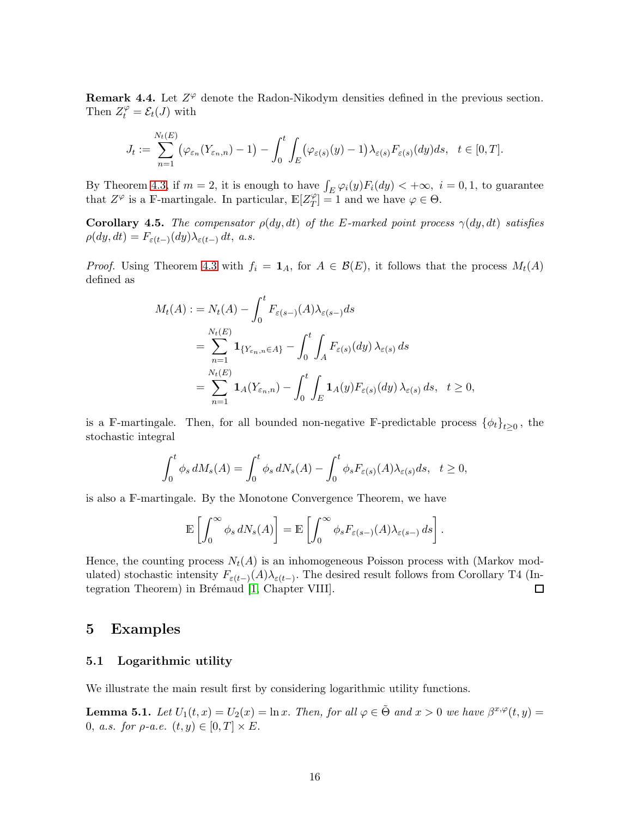<span id="page-15-1"></span>**Remark 4.4.** Let  $Z^{\varphi}$  denote the Radon-Nikodym densities defined in the previous section. Then  $Z_t^{\varphi} = \mathcal{E}_t(J)$  with

$$
J_t := \sum_{n=1}^{N_t(E)} (\varphi_{\varepsilon_n}(Y_{\varepsilon_n,n}) - 1) - \int_0^t \int_E (\varphi_{\varepsilon(s)}(y) - 1) \lambda_{\varepsilon(s)} F_{\varepsilon(s)}(dy) ds, \quad t \in [0, T].
$$

By Theorem [4.3,](#page-14-2) if  $m = 2$ , it is enough to have  $\int_E \varphi_i(y) F_i(dy) < +\infty$ ,  $i = 0, 1$ , to guarantee that  $Z^{\varphi}$  is a F-martingale. In particular,  $\mathbb{E}[Z_T^{\varphi}]$  $T$ <sup> $\varphi$ </sup> $T$  = 1 and we have  $\varphi \in \Theta$ .

<span id="page-15-0"></span>Corollary 4.5. The compensator  $\rho(dy, dt)$  of the E-marked point process  $\gamma(dy, dt)$  satisfies  $\rho(dy, dt) = F_{\varepsilon(t-)}(dy)\lambda_{\varepsilon(t-)} dt$ , a.s.

*Proof.* Using Theorem [4.3](#page-14-2) with  $f_i = \mathbf{1}_A$ , for  $A \in \mathcal{B}(E)$ , it follows that the process  $M_t(A)$ defined as

$$
M_t(A) := N_t(A) - \int_0^t F_{\varepsilon(s-)}(A)\lambda_{\varepsilon(s-)}ds
$$
  
= 
$$
\sum_{n=1}^{N_t(E)} \mathbf{1}_{\{Y_{\varepsilon_n, n} \in A\}} - \int_0^t \int_A F_{\varepsilon(s)}(dy) \lambda_{\varepsilon(s)} ds
$$
  
= 
$$
\sum_{n=1}^{N_t(E)} \mathbf{1}_A(Y_{\varepsilon_n, n}) - \int_0^t \int_E \mathbf{1}_A(y) F_{\varepsilon(s)}(dy) \lambda_{\varepsilon(s)} ds, \quad t \ge 0,
$$

is a F-martingale. Then, for all bounded non-negative F-predictable process  $\{\phi_t\}_{t\geq 0}$ , the stochastic integral

$$
\int_0^t \phi_s dM_s(A) = \int_0^t \phi_s dN_s(A) - \int_0^t \phi_s F_{\varepsilon(s)}(A) \lambda_{\varepsilon(s)} ds, \quad t \ge 0,
$$

is also a F-martingale. By the Monotone Convergence Theorem, we have

$$
\mathbb{E}\left[\int_0^\infty \phi_s dN_s(A)\right] = \mathbb{E}\left[\int_0^\infty \phi_s F_{\varepsilon(s-)}(A)\lambda_{\varepsilon(s-)} ds\right].
$$

Hence, the counting process  $N_t(A)$  is an inhomogeneous Poisson process with (Markov modulated) stochastic intensity  $F_{\varepsilon(t-)}(A)\lambda_{\varepsilon(t-)}$ . The desired result follows from Corollary T4 (In-tegration Theorem) in Brémaud [\[1,](#page-22-14) Chapter VIII].  $\Box$ 

### 5 Examples

#### 5.1 Logarithmic utility

We illustrate the main result first by considering logarithmic utility functions.

<span id="page-15-2"></span>**Lemma 5.1.** Let  $U_1(t, x) = U_2(x) = \ln x$ . Then, for all  $\varphi \in \tilde{\Theta}$  and  $x > 0$  we have  $\beta^{x, \varphi}(t, y) =$ 0, a.s. for  $\rho$ -a.e.  $(t, y) \in [0, T] \times E$ .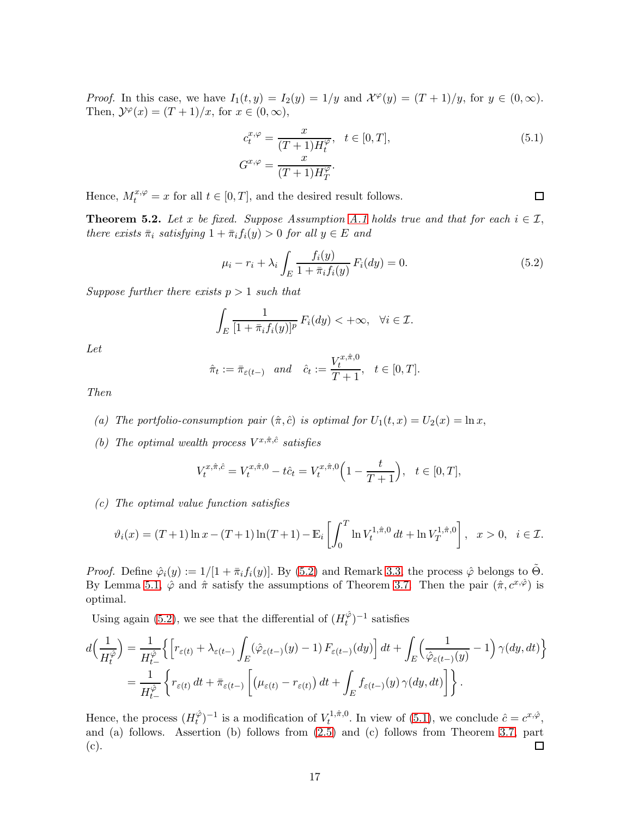*Proof.* In this case, we have  $I_1(t, y) = I_2(y) = 1/y$  and  $\mathcal{X}^{\varphi}(y) = (T + 1)/y$ , for  $y \in (0, \infty)$ . Then,  $\mathcal{Y}^{\varphi}(x) = (T+1)/x$ , for  $x \in (0, \infty)$ ,

$$
c_t^{x,\varphi} = \frac{x}{(T+1)H_t^{\varphi}}, \quad t \in [0,T],
$$
  
\n
$$
G^{x,\varphi} = \frac{x}{(T+1)H_T^{\varphi}}.
$$
\n(5.1)

<span id="page-16-1"></span> $\Box$ 

Hence,  $M_t^{x,\varphi} = x$  for all  $t \in [0,T]$ , and the desired result follows.

<span id="page-16-2"></span>**Theorem 5.2.** Let x be fixed. Suppose Assumption [A.1](#page-5-1) holds true and that for each  $i \in \mathcal{I}$ , there exists  $\bar{\pi}_i$  satisfying  $1 + \bar{\pi}_i f_i(y) > 0$  for all  $y \in E$  and

<span id="page-16-0"></span>
$$
\mu_i - r_i + \lambda_i \int_E \frac{f_i(y)}{1 + \bar{\pi}_i f_i(y)} F_i(dy) = 0.
$$
\n(5.2)

Suppose further there exists  $p > 1$  such that

$$
\int_{E} \frac{1}{[1+\bar{\pi}_i f_i(y)]^p} F_i(dy) < +\infty, \quad \forall i \in \mathcal{I}.
$$

Let

$$
\hat{\pi}_t := \bar{\pi}_{\varepsilon(t-)} \quad and \quad \hat{c}_t := \frac{V_t^{x,\hat{\pi},0}}{T+1}, \quad t \in [0,T].
$$

Then

- (a) The portfolio-consumption pair  $(\hat{\pi}, \hat{c})$  is optimal for  $U_1(t, x) = U_2(x) = \ln x$ ,
- (b) The optimal wealth process  $V^{x,\hat{\pi},\hat{c}}$  satisfies

$$
V_t^{x,\hat{\pi},\hat{c}} = V_t^{x,\hat{\pi},0} - t\hat{c}_t = V_t^{x,\hat{\pi},0} \left( 1 - \frac{t}{T+1} \right), \quad t \in [0,T],
$$

(c) The optimal value function satisfies

$$
\vartheta_i(x) = (T+1)\ln x - (T+1)\ln(T+1) - \mathbb{E}_i\left[\int_0^T \ln V_t^{1,\hat{\pi},0} dt + \ln V_T^{1,\hat{\pi},0}\right], \quad x > 0, \quad i \in \mathcal{I}.
$$

*Proof.* Define  $\hat{\varphi}_i(y) := 1/[1 + \bar{\pi}_i f_i(y)]$ . By [\(5.2\)](#page-16-0) and Remark [3.3,](#page-6-3) the process  $\hat{\varphi}$  belongs to  $\tilde{\Theta}$ . By Lemma [5.1,](#page-15-2)  $\hat{\varphi}$  and  $\hat{\pi}$  satisfy the assumptions of Theorem [3.7.](#page-9-0) Then the pair  $(\hat{\pi}, c^{x,\hat{\varphi}})$  is optimal.

Using again [\(5.2\)](#page-16-0), we see that the differential of  $(H_t^{\hat{\varphi}})$  $\binom{\varphi}{t}$ <sup>-1</sup> satisfies

$$
d\left(\frac{1}{H_t^{\hat{\varphi}}}\right) = \frac{1}{H_{t-}^{\hat{\varphi}}}\Big\{\Big[r_{\varepsilon(t)} + \lambda_{\varepsilon(t-)}\int_E(\hat{\varphi}_{\varepsilon(t-)}(y) - 1) F_{\varepsilon(t-)}(dy)\Big]\,dt + \int_E\Big(\frac{1}{\hat{\varphi}_{\varepsilon(t-)}(y)} - 1\Big)\,\gamma(dy, dt)\Big\}
$$
  
= 
$$
\frac{1}{H_{t-}^{\hat{\varphi}}}\Big\{r_{\varepsilon(t)}\,dt + \bar{\pi}_{\varepsilon(t-)}\Big[\big(\mu_{\varepsilon(t)} - r_{\varepsilon(t)}\big)\,dt + \int_E f_{\varepsilon(t-)}(y)\,\gamma(dy, dt)\Big]\Big\}\,.
$$

Hence, the process  $(H_t^{\hat{\varphi}})$  $(t<sub>t</sub><sup>0</sup>)<sup>-1</sup>$  is a modification of  $V<sub>t</sub><sup>1,  $\hat{\pi}$ , 0</sup>$  $t^{1,\hat{\pi},0}$ . In view of [\(5.1\)](#page-16-1), we conclude  $\hat{c} = c^{x,\hat{\varphi}},$ and (a) follows. Assertion (b) follows from [\(2.5\)](#page-4-1) and (c) follows from Theorem [3.7,](#page-9-0) part (c).  $\Box$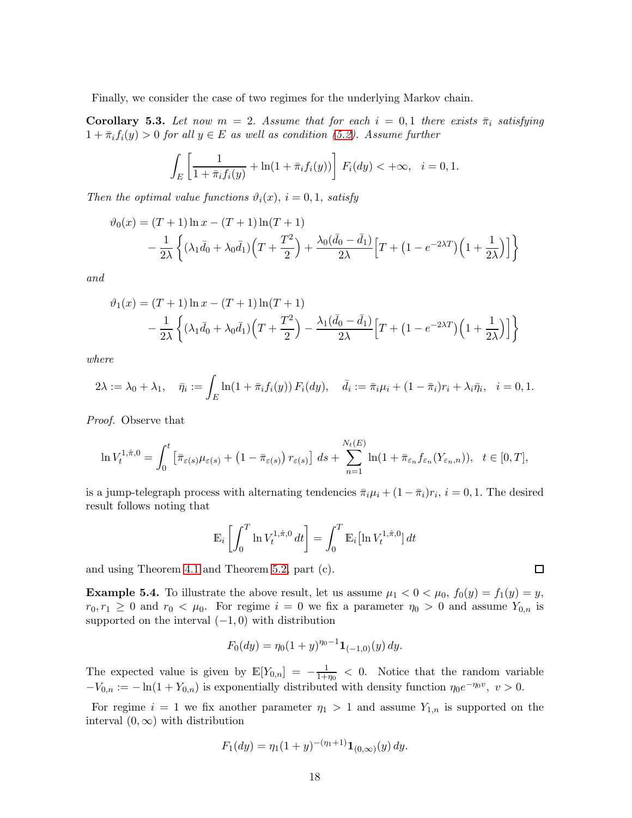Finally, we consider the case of two regimes for the underlying Markov chain.

**Corollary 5.3.** Let now  $m = 2$ . Assume that for each  $i = 0,1$  there exists  $\bar{\pi}_i$  satisfying  $1 + \overline{\pi}_i f_i(y) > 0$  for all  $y \in E$  as well as condition [\(5.2\)](#page-16-0). Assume further

$$
\int_{E} \left[ \frac{1}{1 + \bar{\pi}_{i} f_{i}(y)} + \ln(1 + \bar{\pi}_{i} f_{i}(y)) \right] F_{i}(dy) < +\infty, \quad i = 0, 1.
$$

Then the optimal value functions  $\vartheta_i(x)$ ,  $i = 0, 1$ , satisfy

$$
\vartheta_0(x) = (T+1)\ln x - (T+1)\ln(T+1) \n- \frac{1}{2\lambda} \left\{ (\lambda_1 \bar{d}_0 + \lambda_0 \bar{d}_1) \left( T + \frac{T^2}{2} \right) + \frac{\lambda_0 (\bar{d}_0 - \bar{d}_1)}{2\lambda} \left[ T + (1 - e^{-2\lambda T}) \left( 1 + \frac{1}{2\lambda} \right) \right] \right\}
$$

and

$$
\vartheta_1(x) = (T+1)\ln x - (T+1)\ln(T+1) \n- \frac{1}{2\lambda} \left\{ (\lambda_1 \bar{d}_0 + \lambda_0 \bar{d}_1) \left( T + \frac{T^2}{2} \right) - \frac{\lambda_1(\bar{d}_0 - \bar{d}_1)}{2\lambda} \left[ T + (1 - e^{-2\lambda T}) \left( 1 + \frac{1}{2\lambda} \right) \right] \right\}
$$

where

$$
2\lambda := \lambda_0 + \lambda_1, \quad \bar{\eta}_i := \int_E \ln(1 + \bar{\pi}_i f_i(y)) F_i(dy), \quad \bar{d}_i := \bar{\pi}_i \mu_i + (1 - \bar{\pi}_i) r_i + \lambda_i \bar{\eta}_i, \quad i = 0, 1.
$$

Proof. Observe that

$$
\ln V_t^{1,\hat{\pi},0} = \int_0^t \left[ \bar{\pi}_{\varepsilon(s)} \mu_{\varepsilon(s)} + \left( 1 - \bar{\pi}_{\varepsilon(s)} \right) r_{\varepsilon(s)} \right] ds + \sum_{n=1}^{N_t(E)} \ln(1 + \bar{\pi}_{\varepsilon_n} f_{\varepsilon_n}(Y_{\varepsilon_n,n})), \quad t \in [0,T],
$$

is a jump-telegraph process with alternating tendencies  $\bar{\pi}_i \mu_i + (1 - \bar{\pi}_i) r_i$ ,  $i = 0, 1$ . The desired result follows noting that

$$
\mathbb{E}_i \left[ \int_0^T \ln V_t^{1,\hat{\pi},0} dt \right] = \int_0^T \mathbb{E}_i \left[ \ln V_t^{1,\hat{\pi},0} \right] dt
$$

and using Theorem [4.1](#page-12-3) and Theorem [5.2,](#page-16-2) part (c).

**Example 5.4.** To illustrate the above result, let us assume  $\mu_1 < 0 < \mu_0$ ,  $f_0(y) = f_1(y) = y$ ,  $r_0, r_1 \geq 0$  and  $r_0 < \mu_0$ . For regime  $i = 0$  we fix a parameter  $\eta_0 > 0$  and assume  $Y_{0,n}$  is supported on the interval  $(-1, 0)$  with distribution

$$
F_0(dy) = \eta_0(1+y)^{\eta_0 - 1} \mathbf{1}_{(-1,0)}(y) dy.
$$

The expected value is given by  $\mathbb{E}[Y_{0,n}] = -\frac{1}{1+n}$  $\frac{1}{1+\eta_0}$  < 0. Notice that the random variable  $-V_{0,n} := -\ln(1+Y_{0,n})$  is exponentially distributed with density function  $\eta_0 e^{-\eta_0 v}$ ,  $v > 0$ .

For regime  $i = 1$  we fix another parameter  $\eta_1 > 1$  and assume  $Y_{1,n}$  is supported on the interval  $(0, \infty)$  with distribution

$$
F_1(dy) = \eta_1(1+y)^{-(\eta_1+1)}\mathbf{1}_{(0,\infty)}(y) dy.
$$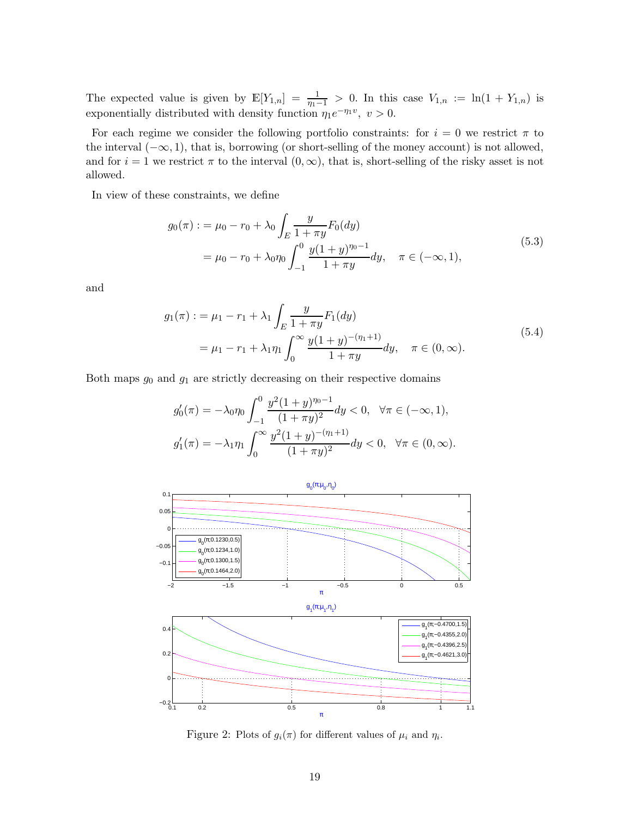The expected value is given by  $\mathbb{E}[Y_{1,n}] = \frac{1}{n-1} > 0$ . In this case  $V_{1,n} := \ln(1 + Y_{1,n})$  is exponentially distributed with density function  $\eta_1 e^{-\eta_1 v}$ ,  $v > 0$ .

For each regime we consider the following portfolio constraints: for  $i = 0$  we restrict  $\pi$  to the interval  $(-\infty, 1)$ , that is, borrowing (or short-selling of the money account) is not allowed, and for  $i = 1$  we restrict  $\pi$  to the interval  $(0, \infty)$ , that is, short-selling of the risky asset is not allowed.

In view of these constraints, we define

$$
g_0(\pi) := \mu_0 - r_0 + \lambda_0 \int_E \frac{y}{1 + \pi y} F_0(dy)
$$
  
=  $\mu_0 - r_0 + \lambda_0 \eta_0 \int_{-1}^0 \frac{y(1 + y)^{\eta_0 - 1}}{1 + \pi y} dy, \quad \pi \in (-\infty, 1),$  (5.3)

and

$$
g_1(\pi) := \mu_1 - r_1 + \lambda_1 \int_E \frac{y}{1 + \pi y} F_1(dy)
$$
  
=  $\mu_1 - r_1 + \lambda_1 \eta_1 \int_0^\infty \frac{y(1 + y)^{-(\eta_1 + 1)}}{1 + \pi y} dy, \quad \pi \in (0, \infty).$  (5.4)

Both maps  $g_0$  and  $g_1$  are strictly decreasing on their respective domains

$$
g'_0(\pi) = -\lambda_0 \eta_0 \int_{-1}^0 \frac{y^2 (1+y)^{\eta_0 - 1}}{(1+\pi y)^2} dy < 0, \quad \forall \pi \in (-\infty, 1),
$$
  

$$
g'_1(\pi) = -\lambda_1 \eta_1 \int_0^\infty \frac{y^2 (1+y)^{-(\eta_1+1)}}{(1+\pi y)^2} dy < 0, \quad \forall \pi \in (0, \infty).
$$



Figure 2: Plots of  $g_i(\pi)$  for different values of  $\mu_i$  and  $\eta_i$ .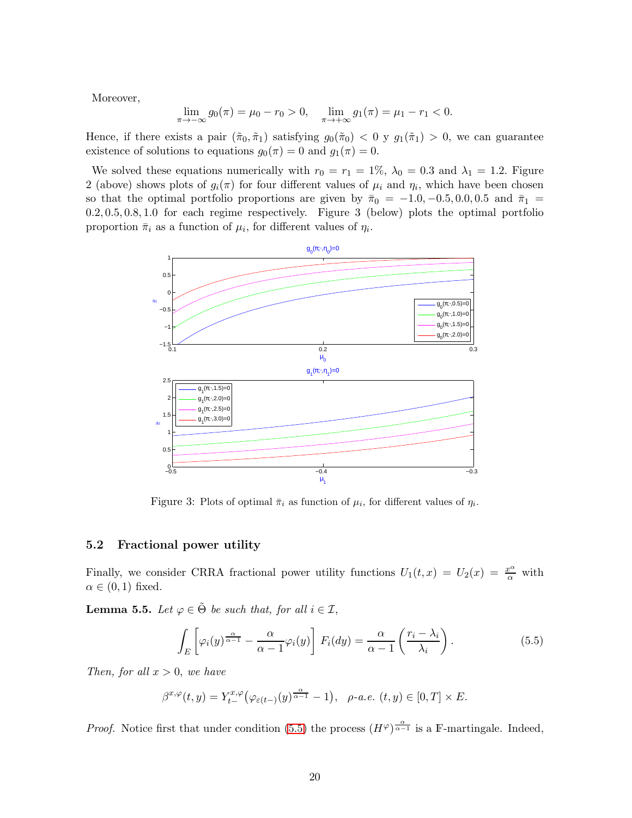Moreover,

$$
\lim_{\pi \to -\infty} g_0(\pi) = \mu_0 - r_0 > 0, \quad \lim_{\pi \to +\infty} g_1(\pi) = \mu_1 - r_1 < 0.
$$

Hence, if there exists a pair  $(\tilde{\pi}_0, \tilde{\pi}_1)$  satisfying  $g_0(\tilde{\pi}_0) < 0$  y  $g_1(\tilde{\pi}_1) > 0$ , we can guarantee existence of solutions to equations  $g_0(\pi) = 0$  and  $g_1(\pi) = 0$ .

We solved these equations numerically with  $r_0 = r_1 = 1\%, \lambda_0 = 0.3$  and  $\lambda_1 = 1.2$ . Figure 2 (above) shows plots of  $g_i(\pi)$  for four different values of  $\mu_i$  and  $\eta_i$ , which have been chosen so that the optimal portfolio proportions are given by  $\bar{\pi}_0 = -1.0, -0.5, 0.0, 0.5$  and  $\bar{\pi}_1 =$ 0.2, 0.5, 0.8, 1.0 for each regime respectively. Figure 3 (below) plots the optimal portfolio proportion  $\bar{\pi}_i$  as a function of  $\mu_i$ , for different values of  $\eta_i$ .



Figure 3: Plots of optimal  $\bar{\pi}_i$  as function of  $\mu_i$ , for different values of  $\eta_i$ .

#### 5.2 Fractional power utility

Finally, we consider CRRA fractional power utility functions  $U_1(t,x) = U_2(x) = \frac{x^{\alpha}}{\alpha}$  with  $\alpha \in (0,1)$  fixed.

<span id="page-19-1"></span>**Lemma 5.5.** Let  $\varphi \in \tilde{\Theta}$  be such that, for all  $i \in \mathcal{I}$ ,

<span id="page-19-0"></span>
$$
\int_{E} \left[ \varphi_{i}(y)^{\frac{\alpha}{\alpha-1}} - \frac{\alpha}{\alpha-1} \varphi_{i}(y) \right] F_{i}(dy) = \frac{\alpha}{\alpha-1} \left( \frac{r_{i} - \lambda_{i}}{\lambda_{i}} \right). \tag{5.5}
$$

Then, for all  $x > 0$ , we have

$$
\beta^{x,\varphi}(t,y) = Y_{t-}^{x,\varphi}(\varphi_{\varepsilon(t-)}(y)^{\frac{\alpha}{\alpha-1}} - 1), \quad \rho\text{-}a.e. \ (t,y) \in [0,T] \times E.
$$

*Proof.* Notice first that under condition [\(5.5\)](#page-19-0) the process  $(H^{\varphi})^{\frac{\alpha}{\alpha-1}}$  is a F-martingale. Indeed,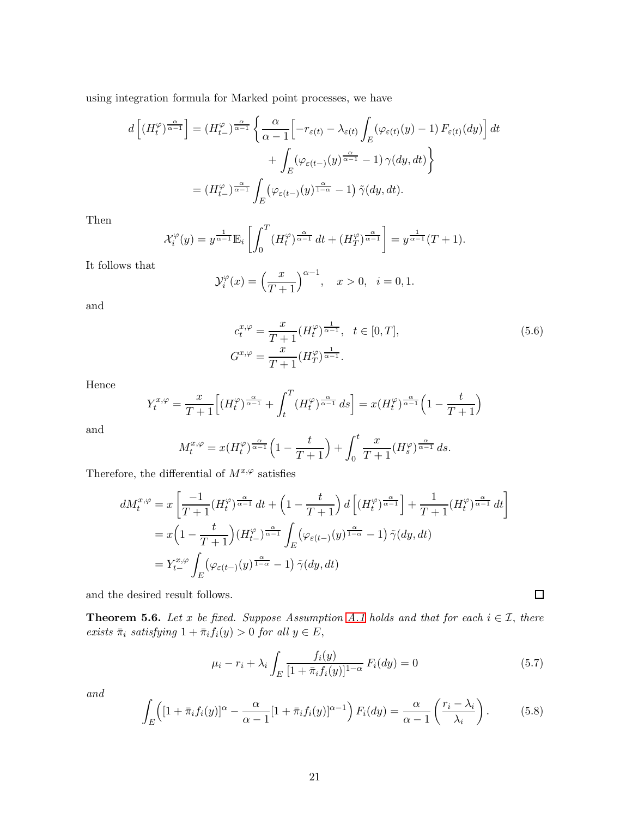using integration formula for Marked point processes, we have

$$
d\left[ (H_t^{\varphi})^{\frac{\alpha}{\alpha-1}} \right] = (H_{t-}^{\varphi})^{\frac{\alpha}{\alpha-1}} \left\{ \frac{\alpha}{\alpha-1} \Big[ -r_{\varepsilon(t)} - \lambda_{\varepsilon(t)} \int_E (\varphi_{\varepsilon(t)}(y) - 1) F_{\varepsilon(t)}(dy) \Big] dt \right. \\ \left. + \int_E (\varphi_{\varepsilon(t-)}(y)^{\frac{\alpha}{\alpha-1}} - 1) \gamma(dy, dt) \right\} \\ = (H_{t-}^{\varphi})^{\frac{\alpha}{\alpha-1}} \int_E (\varphi_{\varepsilon(t-)}(y)^{\frac{\alpha}{1-\alpha}} - 1) \tilde{\gamma}(dy, dt).
$$

Then

$$
\mathcal{X}_i^{\varphi}(y) = y^{\frac{1}{\alpha-1}} \mathbb{E}_i \left[ \int_0^T (H_t^{\varphi})^{\frac{\alpha}{\alpha-1}} dt + (H_T^{\varphi})^{\frac{\alpha}{\alpha-1}} \right] = y^{\frac{1}{\alpha-1}} (T+1).
$$

It follows that

$$
\mathcal{Y}_i^{\varphi}(x) = \left(\frac{x}{T+1}\right)^{\alpha-1}, \quad x > 0, \ \ i = 0, 1.
$$

and

$$
c_t^{x,\varphi} = \frac{x}{T+1} (H_t^{\varphi})^{\frac{1}{\alpha-1}}, \quad t \in [0,T],
$$
  
\n
$$
G^{x,\varphi} = \frac{x}{T+1} (H_T^{\varphi})^{\frac{1}{\alpha-1}}.
$$
\n(5.6)

Hence

$$
Y_t^{x,\varphi} = \frac{x}{T+1} \Big[ (H_t^{\varphi})^{\frac{\alpha}{\alpha-1}} + \int_t^T (H_t^{\varphi})^{\frac{\alpha}{\alpha-1}} ds \Big] = x(H_t^{\varphi})^{\frac{\alpha}{\alpha-1}} \Big( 1 - \frac{t}{T+1} \Big)
$$

and

$$
M_t^{x,\varphi} = x(H_t^{\varphi})^{\frac{\alpha}{\alpha-1}} \left(1 - \frac{t}{T+1}\right) + \int_0^t \frac{x}{T+1} (H_s^{\varphi})^{\frac{\alpha}{\alpha-1}} ds.
$$

Therefore, the differential of  $M^{x,\varphi}$  satisfies

$$
dM_t^{x,\varphi} = x \left[ \frac{-1}{T+1} (H_t^{\varphi})^{\frac{\alpha}{\alpha-1}} dt + \left( 1 - \frac{t}{T+1} \right) d \left[ (H_t^{\varphi})^{\frac{\alpha}{\alpha-1}} \right] + \frac{1}{T+1} (H_t^{\varphi})^{\frac{\alpha}{\alpha-1}} dt \right]
$$
  
=  $x \left( 1 - \frac{t}{T+1} \right) (H_{t-}^{\varphi})^{\frac{\alpha}{\alpha-1}} \int_E (\varphi_{\varepsilon(t-)}(y)^{\frac{\alpha}{1-\alpha}} - 1) \tilde{\gamma}(dy, dt)$   
=  $Y_{t-}^{x,\varphi} \int_E (\varphi_{\varepsilon(t-)}(y)^{\frac{\alpha}{1-\alpha}} - 1) \tilde{\gamma}(dy, dt)$ 

and the desired result follows.

**Theorem 5.6.** Let x be fixed. Suppose Assumption [A.1](#page-5-1) holds and that for each  $i \in \mathcal{I}$ , there exists  $\bar{\pi}_i$  satisfying  $1 + \bar{\pi}_i f_i(y) > 0$  for all  $y \in E$ ,

<span id="page-20-0"></span>
$$
\mu_i - r_i + \lambda_i \int_E \frac{f_i(y)}{[1 + \bar{\pi}_i f_i(y)]^{1-\alpha}} F_i(dy) = 0
$$
\n(5.7)

<span id="page-20-1"></span> $\Box$ 

and

<span id="page-20-2"></span>
$$
\int_{E} \left( [1 + \bar{\pi}_i f_i(y)]^{\alpha} - \frac{\alpha}{\alpha - 1} [1 + \bar{\pi}_i f_i(y)]^{\alpha - 1} \right) F_i(dy) = \frac{\alpha}{\alpha - 1} \left( \frac{r_i - \lambda_i}{\lambda_i} \right). \tag{5.8}
$$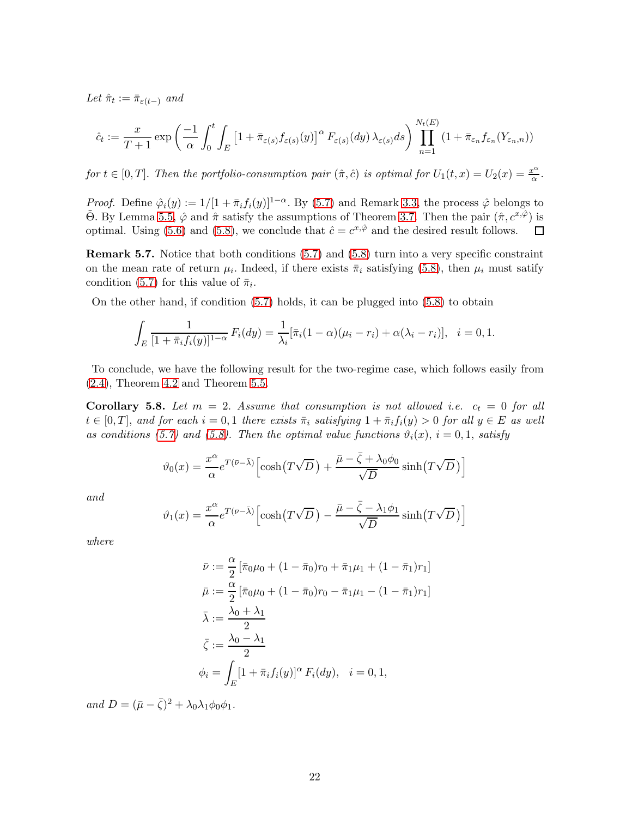Let  $\hat{\pi}_t := \bar{\pi}_{\varepsilon(t-)}$  and

$$
\hat{c}_t := \frac{x}{T+1} \exp\left(\frac{-1}{\alpha} \int_0^t \int_E \left[1 + \bar{\pi}_{\varepsilon(s)} f_{\varepsilon(s)}(y)\right]^\alpha F_{\varepsilon(s)}(dy) \lambda_{\varepsilon(s)} ds\right) \prod_{n=1}^{N_t(E)} \left(1 + \bar{\pi}_{\varepsilon_n} f_{\varepsilon_n}(Y_{\varepsilon_n, n})\right)
$$

for  $t \in [0, T]$ . Then the portfolio-consumption pair  $(\hat{\pi}, \hat{c})$  is optimal for  $U_1(t, x) = U_2(x) = \frac{x^{\alpha}}{\alpha}$  $\frac{c^{a}}{\alpha}$ .

*Proof.* Define  $\hat{\varphi}_i(y) := 1/[1 + \bar{\pi}_i f_i(y)]^{1-\alpha}$ . By [\(5.7\)](#page-20-0) and Remark [3.3,](#page-6-3) the process  $\hat{\varphi}$  belongs to  $\tilde{\Theta}$ . By Lemma [5.5,](#page-19-1)  $\hat{\varphi}$  and  $\hat{\pi}$  satisfy the assumptions of Theorem [3.7.](#page-9-0) Then the pair  $(\hat{\pi}, c^x, \hat{\varphi})$  is optimal. Using [\(5.6\)](#page-20-1) and [\(5.8\)](#page-20-2), we conclude that  $\hat{c} = c^{x,\hat{\varphi}}$  and the desired result follows.  $\Box$ 

Remark 5.7. Notice that both conditions  $(5.7)$  and  $(5.8)$  turn into a very specific constraint on the mean rate of return  $\mu_i$ . Indeed, if there exists  $\bar{\pi}_i$  satisfying [\(5.8\)](#page-20-2), then  $\mu_i$  must satify condition [\(5.7\)](#page-20-0) for this value of  $\bar{\pi}_i$ .

On the other hand, if condition [\(5.7\)](#page-20-0) holds, it can be plugged into [\(5.8\)](#page-20-2) to obtain

$$
\int_{E} \frac{1}{[1 + \bar{\pi}_i f_i(y)]^{1-\alpha}} F_i(dy) = \frac{1}{\lambda_i} [\bar{\pi}_i (1 - \alpha) (\mu_i - r_i) + \alpha (\lambda_i - r_i)], \quad i = 0, 1.
$$

To conclude, we have the following result for the two-regime case, which follows easily from [\(2.4\)](#page-4-0), Theorem [4.2](#page-13-1) and Theorem [5.5.](#page-19-1)

Corollary 5.8. Let  $m = 2$ . Assume that consumption is not allowed i.e.  $c_t = 0$  for all  $t \in [0,T]$ , and for each  $i = 0,1$  there exists  $\bar{\pi}_i$  satisfying  $1 + \bar{\pi}_i f_i(y) > 0$  for all  $y \in E$  as well as conditions [\(5.7\)](#page-20-0) and [\(5.8\)](#page-20-2). Then the optimal value functions  $\vartheta_i(x)$ ,  $i = 0, 1$ , satisfy

$$
\vartheta_0(x) = \frac{x^{\alpha}}{\alpha} e^{T(\bar{\nu} - \bar{\lambda})} \left[ \cosh(T\sqrt{D}) + \frac{\bar{\mu} - \bar{\zeta} + \lambda_0 \phi_0}{\sqrt{D}} \sinh(T\sqrt{D}) \right]
$$

and

$$
\vartheta_1(x) = \frac{x^{\alpha}}{\alpha} e^{T(\bar{\nu} - \bar{\lambda})} \left[ \cosh(T\sqrt{D}) - \frac{\bar{\mu} - \bar{\zeta} - \lambda_1 \phi_1}{\sqrt{D}} \sinh(T\sqrt{D}) \right]
$$

where

$$
\bar{\nu} := \frac{\alpha}{2} \left[ \bar{\pi}_0 \mu_0 + (1 - \bar{\pi}_0) r_0 + \bar{\pi}_1 \mu_1 + (1 - \bar{\pi}_1) r_1 \right]
$$
  
\n
$$
\bar{\mu} := \frac{\alpha}{2} \left[ \bar{\pi}_0 \mu_0 + (1 - \bar{\pi}_0) r_0 - \bar{\pi}_1 \mu_1 - (1 - \bar{\pi}_1) r_1 \right]
$$
  
\n
$$
\bar{\lambda} := \frac{\lambda_0 + \lambda_1}{2}
$$
  
\n
$$
\bar{\zeta} := \frac{\lambda_0 - \lambda_1}{2}
$$
  
\n
$$
\phi_i = \int_E \left[ 1 + \bar{\pi}_i f_i(y) \right]^\alpha F_i(dy), \quad i = 0, 1,
$$

and  $D = (\bar{\mu} - \bar{\zeta})^2 + \lambda_0 \lambda_1 \phi_0 \phi_1$ .